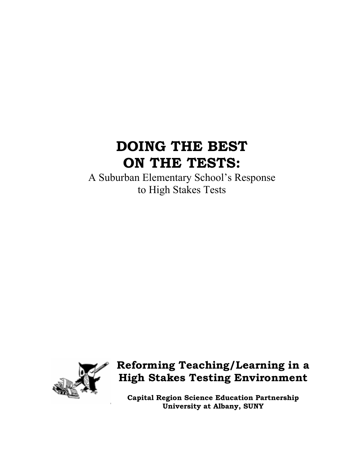# **DOING THE BEST ON THE TESTS:**

A Suburban Elementary School's Response to High Stakes Tests



## **Reforming Teaching/Learning in a High Stakes Testing Environment**

**Capital Region Science Education Partnership University at Albany, SUNY**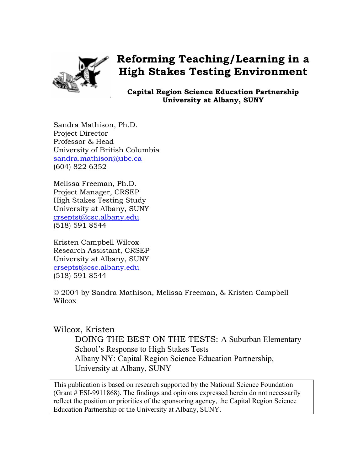

## **Reforming Teaching/Learning in a High Stakes Testing Environment**

**Capital Region Science Education Partnership University at Albany, SUNY** 

Sandra Mathison, Ph.D. Project Director Professor & Head University of British Columbia sandra.mathison@ubc.ca (604) 822 6352

Melissa Freeman, Ph.D. Project Manager, CRSEP High Stakes Testing Study University at Albany, SUNY crseptst@csc.albany.edu (518) 591 8544

Kristen Campbell Wilcox Research Assistant, CRSEP University at Albany, SUNY crseptst@csc.albany.edu (518) 591 8544

© 2004 by Sandra Mathison, Melissa Freeman, & Kristen Campbell Wilcox

## Wilcox, Kristen

DOING THE BEST ON THE TESTS: A Suburban Elementary School's Response to High Stakes Tests Albany NY: Capital Region Science Education Partnership, University at Albany, SUNY

This publication is based on research supported by the National Science Foundation (Grant # ESI-9911868). The findings and opinions expressed herein do not necessarily reflect the position or priorities of the sponsoring agency, the Capital Region Science Education Partnership or the University at Albany, SUNY.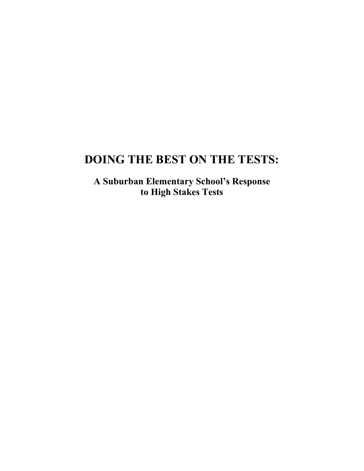## **DOING THE BEST ON THE TESTS:**

**A Suburban Elementary School's Response to High Stakes Tests**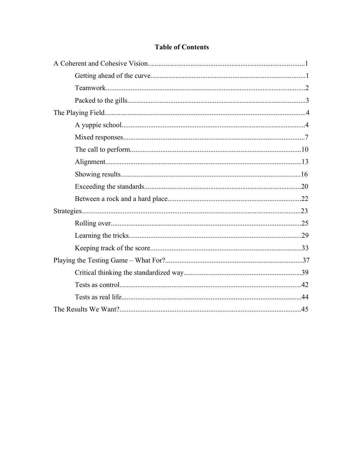## **Table of Contents**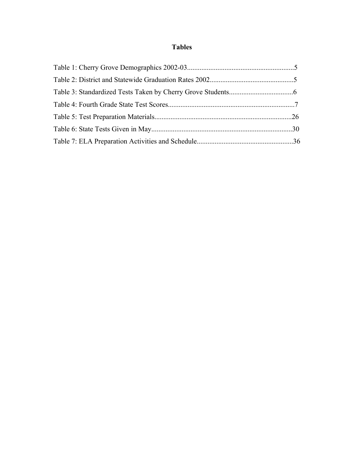## **Tables**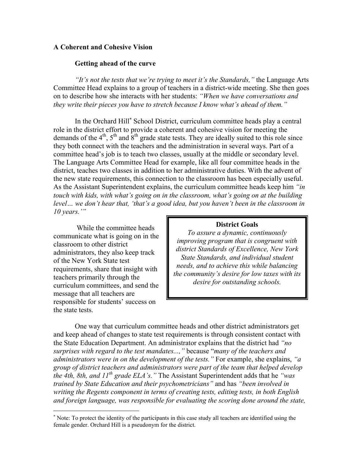## **A Coherent and Cohesive Vision**

## **Getting ahead of the curve**

*"It's not the tests that we're trying to meet it's the Standards,"* the Language Arts Committee Head explains to a group of teachers in a district-wide meeting. She then goes on to describe how she interacts with her students: *"When we have conversations and they write their pieces you have to stretch because I know what's ahead of them."* 

In the Orchard Hill<sup>∗</sup> School District, curriculum committee heads play a central role in the district effort to provide a coherent and cohesive vision for meeting the demands of the  $4<sup>th</sup>$ ,  $5<sup>th</sup>$  and  $8<sup>th</sup>$  grade state tests. They are ideally suited to this role since they both connect with the teachers and the administration in several ways. Part of a committee head's job is to teach two classes, usually at the middle or secondary level. The Language Arts Committee Head for example, like all four committee heads in the district, teaches two classes in addition to her administrative duties. With the advent of the new state requirements, this connection to the classroom has been especially useful. As the Assistant Superintendent explains, the curriculum committee heads keep him *"in touch with kids, with what's going on in the classroom, what's going on at the building level… we don't hear that, 'that's a good idea, but you haven't been in the classroom in 10 years.'"*

 While the committee heads communicate what is going on in the classroom to other district administrators, they also keep track of the New York State test requirements, share that insight with teachers primarily through the curriculum committees, and send the message that all teachers are responsible for students' success on the state tests.

1

#### **District Goals**

*To assure a dynamic, continuously improving program that is congruent with district Standards of Excellence, New York State Standards, and individual student needs, and to achieve this while balancing the community's desire for low taxes with its desire for outstanding schools.*

One way that curriculum committee heads and other district administrators get and keep ahead of changes to state test requirements is through consistent contact with the State Education Department. An administrator explains that the district had *"no surprises with regard to the test mandates...,"* because "*many of the teachers and administrators were in on the development of the tests."* For example, she explains, *"a group of district teachers and administrators were part of the team that helped develop the 4th, 8th, and 11<sup>th</sup> grade ELA's.* "The Assistant Superintendent adds that he *"was trained by State Education and their psychometricians"* and has *"been involved in writing the Regents component in terms of creating tests, editing tests, in both English and foreign language, was responsible for evaluating the scoring done around the state,* 

<sup>∗</sup> Note: To protect the identity of the participants in this case study all teachers are identified using the female gender. Orchard Hill is a pseudonym for the district.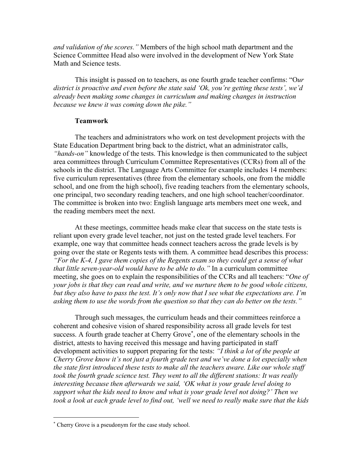*and validation of the scores."* Members of the high school math department and the Science Committee Head also were involved in the development of New York State Math and Science tests.

This insight is passed on to teachers, as one fourth grade teacher confirms: "O*ur district is proactive and even before the state said 'Ok, you're getting these tests', we'd already been making some changes in curriculum and making changes in instruction because we knew it was coming down the pike."*

#### **Teamwork**

The teachers and administrators who work on test development projects with the State Education Department bring back to the district, what an administrator calls, *"hands-on"* knowledge of the tests. This knowledge is then communicated to the subject area committees through Curriculum Committee Representatives (CCRs) from all of the schools in the district. The Language Arts Committee for example includes 14 members: five curriculum representatives (three from the elementary schools, one from the middle school, and one from the high school), five reading teachers from the elementary schools, one principal, two secondary reading teachers, and one high school teacher/coordinator. The committee is broken into two: English language arts members meet one week, and the reading members meet the next.

At these meetings, committee heads make clear that success on the state tests is reliant upon every grade level teacher, not just on the tested grade level teachers. For example, one way that committee heads connect teachers across the grade levels is by going over the state or Regents tests with them. A committee head describes this process: *"For the K-4, I gave them copies of the Regents exam so they could get a sense of what that little seven-year-old would have to be able to do."* In a curriculum committee meeting, she goes on to explain the responsibilities of the CCRs and all teachers: "*One of your jobs is that they can read and write, and we nurture them to be good whole citizens, but they also have to pass the test. It's only now that I see what the expectations are. I'm asking them to use the words from the question so that they can do better on the tests."* 

 Through such messages, the curriculum heads and their committees reinforce a coherent and cohesive vision of shared responsibility across all grade levels for test success. A fourth grade teacher at Cherry Grove<sup>\*</sup>, one of the elementary schools in the district, attests to having received this message and having participated in staff development activities to support preparing for the tests: *"I think a lot of the people at Cherry Grove know it's not just a fourth grade test and we've done a lot especially when the state first introduced these tests to make all the teachers aware. Like our whole staff took the fourth grade science test. They went to all the different stations: It was really interesting because then afterwards we said, 'OK what is your grade level doing to support what the kids need to know and what is your grade level not doing?' Then we took a look at each grade level to find out, 'well we need to really make sure that the kids* 

 $\overline{a}$ 

<sup>∗</sup> Cherry Grove is a pseudonym for the case study school.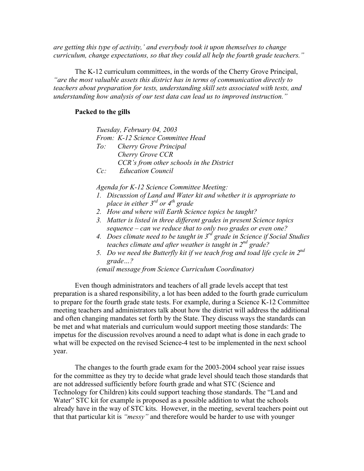*are getting this type of activity,' and everybody took it upon themselves to change curriculum, change expectations, so that they could all help the fourth grade teachers."*

The K-12 curriculum committees, in the words of the Cherry Grove Principal, *"are the most valuable assets this district has in terms of communication directly to teachers about preparation for tests, understanding skill sets associated with tests, and understanding how analysis of our test data can lead us to improved instruction."*

## **Packed to the gills**

|        | Tuesday, February 04, 2003               |
|--------|------------------------------------------|
|        | From: K-12 Science Committee Head        |
|        | To: Cherry Grove Principal               |
|        | Cherry Grove CCR                         |
|        | CCR's from other schools in the District |
| $Cc$ : | <b>Education Council</b>                 |

*Agenda for K-12 Science Committee Meeting:* 

- *1. Discussion of Land and Water kit and whether it is appropriate to place in either 3rd or 4th grade*
- *2. How and where will Earth Science topics be taught?*
- *3. Matter is listed in three different grades in present Science topics sequence – can we reduce that to only two grades or even one?*
- *4. Does climate need to be taught in 3rd grade in Science if Social Studies teaches climate and after weather is taught in 2nd grade?*
- *5. Do we need the Butterfly kit if we teach frog and toad life cycle in 2nd grade…?*

*(email message from Science Curriculum Coordinator)*

Even though administrators and teachers of all grade levels accept that test preparation is a shared responsibility, a lot has been added to the fourth grade curriculum to prepare for the fourth grade state tests. For example, during a Science K-12 Committee meeting teachers and administrators talk about how the district will address the additional and often changing mandates set forth by the State. They discuss ways the standards can be met and what materials and curriculum would support meeting those standards: The impetus for the discussion revolves around a need to adapt what is done in each grade to what will be expected on the revised Science-4 test to be implemented in the next school year.

The changes to the fourth grade exam for the 2003-2004 school year raise issues for the committee as they try to decide what grade level should teach those standards that are not addressed sufficiently before fourth grade and what STC (Science and Technology for Children) kits could support teaching those standards. The "Land and Water" STC kit for example is proposed as a possible addition to what the schools already have in the way of STC kits. However, in the meeting, several teachers point out that that particular kit is *"messy"* and therefore would be harder to use with younger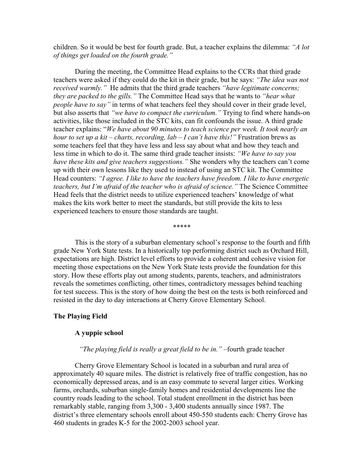children. So it would be best for fourth grade. But, a teacher explains the dilemma: *"A lot of things get loaded on the fourth grade."* 

During the meeting, the Committee Head explains to the CCRs that third grade teachers were asked if they could do the kit in their grade, but he says: *"The idea was not received warmly."* He admits that the third grade teachers *"have legitimate concerns; they are packed to the gills."* The Committee Head says that he wants to *"hear what people have to say"* in terms of what teachers feel they should cover in their grade level, but also asserts that *"we have to compact the curriculum."* Trying to find where hands-on activities, like those included in the STC kits, can fit confounds the issue. A third grade teacher explains: "*We have about 90 minutes to teach science per week. It took nearly an hour to set up a kit – charts, recording, lab – I can't have this!"* Frustration brews as some teachers feel that they have less and less say about what and how they teach and less time in which to do it. The same third grade teacher insists: *"We have to say you have these kits and give teachers suggestions."* She wonders why the teachers can't come up with their own lessons like they used to instead of using an STC kit. The Committee Head counters: *"I agree. I like to have the teachers have freedom. I like to have energetic teachers, but I'm afraid of the teacher who is afraid of science."* The Science Committee Head feels that the district needs to utilize experienced teachers' knowledge of what makes the kits work better to meet the standards, but still provide the kits to less experienced teachers to ensure those standards are taught.

\*\*\*\*\*

This is the story of a suburban elementary school's response to the fourth and fifth grade New York State tests. In a historically top performing district such as Orchard Hill, expectations are high. District level efforts to provide a coherent and cohesive vision for meeting those expectations on the New York State tests provide the foundation for this story. How these efforts play out among students, parents, teachers, and administrators reveals the sometimes conflicting, other times, contradictory messages behind teaching for test success. This is the story of how doing the best on the tests is both reinforced and resisted in the day to day interactions at Cherry Grove Elementary School.

### **The Playing Field**

#### **A yuppie school**

#### *"The playing field is really a great field to be in."* –fourth grade teacher

Cherry Grove Elementary School is located in a suburban and rural area of approximately 40 square miles. The district is relatively free of traffic congestion, has no economically depressed areas, and is an easy commute to several larger cities. Working farms, orchards, suburban single-family homes and residential developments line the country roads leading to the school. Total student enrollment in the district has been remarkably stable, ranging from 3,300 - 3,400 students annually since 1987. The district's three elementary schools enroll about 450-550 students each: Cherry Grove has 460 students in grades K-5 for the 2002-2003 school year.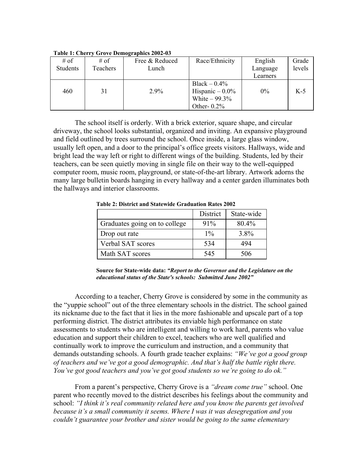| # of     | # of     | Free & Reduced | Race/Ethnicity    | English  | Grade  |
|----------|----------|----------------|-------------------|----------|--------|
| Students | Teachers | Lunch          |                   | Language | levels |
|          |          |                |                   | Learners |        |
|          |          |                | Black $-0.4\%$    |          |        |
| 460      | 31       | 2.9%           | Hispanic $-0.0\%$ | $0\%$    | $K-5$  |
|          |          |                | White $-99.3\%$   |          |        |
|          |          |                | Other- $0.2\%$    |          |        |

**Table 1: Cherry Grove Demographics 2002-03** 

 The school itself is orderly. With a brick exterior, square shape, and circular driveway, the school looks substantial, organized and inviting. An expansive playground and field outlined by trees surround the school. Once inside, a large glass window, usually left open, and a door to the principal's office greets visitors. Hallways, wide and bright lead the way left or right to different wings of the building. Students, led by their teachers, can be seen quietly moving in single file on their way to the well-equipped computer room, music room, playground, or state-of-the-art library. Artwork adorns the many large bulletin boards hanging in every hallway and a center garden illuminates both the hallways and interior classrooms.

|                               | District | State-wide |
|-------------------------------|----------|------------|
| Graduates going on to college | $91\%$   | 80.4%      |
| Drop out rate                 | $1\%$    | 3.8%       |
| Verbal SAT scores             | 534      | 494        |
| Math SAT scores               | 545      | 506        |

**Table 2: District and Statewide Graduation Rates 2002** 

According to a teacher, Cherry Grove is considered by some in the community as the "yuppie school" out of the three elementary schools in the district. The school gained its nickname due to the fact that it lies in the more fashionable and upscale part of a top performing district. The district attributes its enviable high performance on state assessments to students who are intelligent and willing to work hard, parents who value education and support their children to excel, teachers who are well qualified and continually work to improve the curriculum and instruction, and a community that demands outstanding schools. A fourth grade teacher explains: *"We've got a good group of teachers and we've got a good demographic. And that's half the battle right there. You've got good teachers and you've got good students so we're going to do ok."*

 From a parent's perspective, Cherry Grove is a *"dream come true"* school. One parent who recently moved to the district describes his feelings about the community and school: *"I think it's real community related here and you know the parents get involved because it's a small community it seems. Where I was it was desegregation and you couldn't guarantee your brother and sister would be going to the same elementary* 

**Source for State-wide data:** *"Report to the Governor and the Legislature on the educational status of the State's schools: Submitted June 2002"*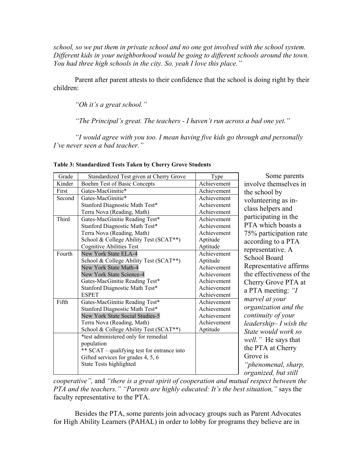*school, so we put them in private school and no one got involved with the school system. Different kids in your neighborhood would be going to different schools around the town. You had three high schools in the city. So, yeah I love this place."* 

 Parent after parent attests to their confidence that the school is doing right by their children:

*"Oh it's a great school."* 

*"The Principal's great. The teachers - I haven't run across a bad one yet."* 

*"I would agree with you too. I mean having five kids go through and personally I've never seen a bad teacher."* 

| Grade  | Standardized Test given at Cherry Grove     | Type        | Some parents                |
|--------|---------------------------------------------|-------------|-----------------------------|
| Kinder | Boehm Test of Basic Concepts                | Achievement | involve themselves in       |
| First  | Gates-MacGinitie*                           | Achievement | the school by               |
| Second | Gates-MacGinitie*                           | Achievement | volunteering as in-         |
|        | Stanford Diagnostic Math Test*              | Achievement | class helpers and           |
|        | Terra Nova (Reading, Math)                  | Achievement |                             |
| Third  | Gates-MacGinitie Reading Test*              | Achievement | participating in the        |
|        | Stanford Diagnostic Math Test*              | Achievement | PTA which boasts a          |
|        | Terra Nova (Reading, Math)                  | Achievement | 75% participation rate      |
|        | School & College Ability Test (SCAT**)      | Aptitude    | according to a PTA          |
|        | <b>Cognitive Abilities Test</b>             | Aptitude    | representative. A           |
| Fourth | New York State ELA-4                        | Achievement | <b>School Board</b>         |
|        | School & College Ability Test (SCAT**)      | Aptitude    |                             |
|        | New York State Math-4                       | Achievement | Representative affirms      |
|        | New York State Science-4                    | Achievement | the effectiveness of the    |
|        | Gates-MacGinitie Reading Test*              | Achievement | Cherry Grove PTA at         |
|        | Stanford Diagnostic Math Test*              | Achievement | a PTA meeting: "I           |
|        | <b>ESPET</b>                                | Achievement | marvel at your              |
| Fifth  | Gates-MacGinitie Reading Test*              | Achievement |                             |
|        | Stanford Diagnostic Math Test*              | Achievement | organization and the        |
|        | New York State Social Studies-5             | Achievement | continuity of your          |
|        | Terra Nova (Reading, Math)                  | Achievement | $leading-I$ wish the        |
|        | School & College Ability Test (SCAT**)      | Aptitude    | State would work so         |
|        | *test administered only for remedial        |             | <i>well.</i> " He says that |
|        | population                                  |             | the PTA at Cherry           |
|        | ** SCAT – qualifying test for entrance into |             |                             |
|        | Gifted services for grades 4, 5, 6          |             | Grove is                    |
|        | State Tests highlighted                     |             | "phenomenal, sharp,         |
|        |                                             |             | organized, but still        |

**Table 3: Standardized Tests Taken by Cherry Grove Students** 

*cooperative",* and *"there is a great spirit of cooperation and mutual respect between the PTA and the teachers." "Parents are highly educated: It's the best situation,"* says the faculty representative to the PTA.

Besides the PTA, some parents join advocacy groups such as Parent Advocates for High Ability Learners (PAHAL) in order to lobby for programs they believe are in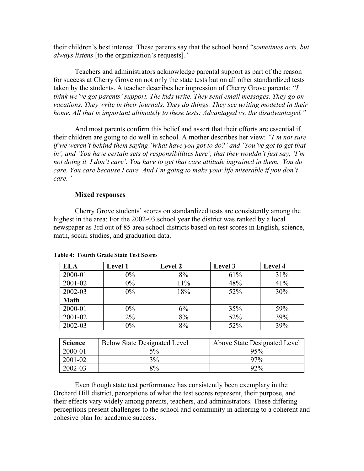their children's best interest. These parents say that the school board "*sometimes acts, but always listens* [to the organization's requests]*."*

Teachers and administrators acknowledge parental support as part of the reason for success at Cherry Grove on not only the state tests but on all other standardized tests taken by the students. A teacher describes her impression of Cherry Grove parents: *"I think we've got parents' support. The kids write. They send email messages. They go on vacations. They write in their journals. They do things. They see writing modeled in their home. All that is important ultimately to these tests: Advantaged vs. the disadvantaged."*

 And most parents confirm this belief and assert that their efforts are essential if their children are going to do well in school. A mother describes her view: *"I'm not sure if we weren't behind them saying 'What have you got to do?' and 'You've got to get that in', and 'You have certain sets of responsibilities here', that they wouldn't just say, 'I'm not doing it. I don't care'. You have to get that care attitude ingrained in them. You do care. You care because I care. And I'm going to make your life miserable if you don't care."* 

## **Mixed responses**

Cherry Grove students' scores on standardized tests are consistently among the highest in the area: For the 2002-03 school year the district was ranked by a local newspaper as 3rd out of 85 area school districts based on test scores in English, science, math, social studies, and graduation data.

| <b>ELA</b>  | <b>Level 1</b> | <b>Level 2</b> | Level 3 | Level 4 |
|-------------|----------------|----------------|---------|---------|
| 2000-01     | $0\%$          | 8%             | 61%     | 31%     |
| 2001-02     | $0\%$          | 11%            | 48%     | 41%     |
| 2002-03     | $0\%$          | 18%            | 52%     | 30%     |
| <b>Math</b> |                |                |         |         |
| 2000-01     | $0\%$          | 6%             | 35%     | 59%     |
| 2001-02     | $2\%$          | 8%             | 52%     | 39%     |
| 2002-03     | $0\%$          | 8%             | 52%     | 39%     |

## **Table 4: Fourth Grade State Test Scores**

| <b>Science</b> | <b>Below State Designated Level</b> | Above State Designated Level |
|----------------|-------------------------------------|------------------------------|
| 2000-01        | $5\%$                               | 95%                          |
| 2001-02        | 3%                                  | $97\%$                       |
| 2002-03        | 8%                                  | 92%                          |

 Even though state test performance has consistently been exemplary in the Orchard Hill district, perceptions of what the test scores represent, their purpose, and their effects vary widely among parents, teachers, and administrators. These differing perceptions present challenges to the school and community in adhering to a coherent and cohesive plan for academic success.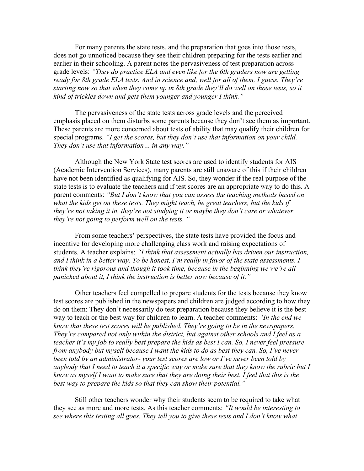For many parents the state tests, and the preparation that goes into those tests, does not go unnoticed because they see their children preparing for the tests earlier and earlier in their schooling. A parent notes the pervasiveness of test preparation across grade levels: *"They do practice ELA and even like for the 6th graders now are getting ready for 8th grade ELA tests. And in science and, well for all of them, I guess. They're starting now so that when they come up in 8th grade they'll do well on those tests, so it kind of trickles down and gets them younger and younger I think."* 

 The pervasiveness of the state tests across grade levels and the perceived emphasis placed on them disturbs some parents because they don't see them as important. These parents are more concerned about tests of ability that may qualify their children for special programs. *"I get the scores, but they don't use that information on your child. They don't use that information… in any way."* 

 Although the New York State test scores are used to identify students for AIS (Academic Intervention Services), many parents are still unaware of this if their children have not been identified as qualifying for AIS. So, they wonder if the real purpose of the state tests is to evaluate the teachers and if test scores are an appropriate way to do this. A parent comments: *"But I don't know that you can assess the teaching methods based on what the kids get on these tests. They might teach, be great teachers, but the kids if they're not taking it in, they're not studying it or maybe they don't care or whatever they're not going to perform well on the tests. "* 

From some teachers' perspectives, the state tests have provided the focus and incentive for developing more challenging class work and raising expectations of students. A teacher explains: *"I think that assessment actually has driven our instruction, and I think in a better way. To be honest, I'm really in favor of the state assessments. I think they're rigorous and though it took time, because in the beginning we we're all panicked about it, I think the instruction is better now because of it."* 

 Other teachers feel compelled to prepare students for the tests because they know test scores are published in the newspapers and children are judged according to how they do on them: They don't necessarily do test preparation because they believe it is the best way to teach or the best way for children to learn. A teacher comments: *"In the end we know that these test scores will be published. They're going to be in the newspapers. They're compared not only within the district, but against other schools and I feel as a teacher it's my job to really best prepare the kids as best I can. So, I never feel pressure from anybody but myself because I want the kids to do as best they can. So, I've never been told by an administrator- your test scores are low or I've never been told by anybody that I need to teach it a specific way or make sure that they know the rubric but I know as myself I want to make sure that they are doing their best. I feel that this is the best way to prepare the kids so that they can show their potential."* 

 Still other teachers wonder why their students seem to be required to take what they see as more and more tests. As this teacher comments: *"It would be interesting to see where this testing all goes. They tell you to give these tests and I don't know what*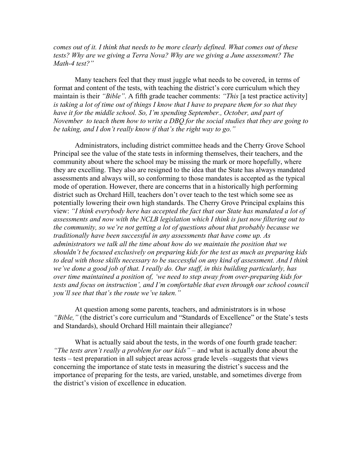*comes out of it. I think that needs to be more clearly defined. What comes out of these tests? Why are we giving a Terra Nova? Why are we giving a June assessment? The Math-4 test?"* 

 Many teachers feel that they must juggle what needs to be covered, in terms of format and content of the tests, with teaching the district's core curriculum which they maintain is their *"Bible"*. A fifth grade teacher comments: *"This* [a test practice activity] *is taking a lot of time out of things I know that I have to prepare them for so that they have it for the middle school. So, I'm spending September., October, and part of November to teach them how to write a DBQ for the social studies that they are going to be taking, and I don't really know if that's the right way to go."* 

Administrators, including district committee heads and the Cherry Grove School Principal see the value of the state tests in informing themselves, their teachers, and the community about where the school may be missing the mark or more hopefully, where they are excelling. They also are resigned to the idea that the State has always mandated assessments and always will, so conforming to those mandates is accepted as the typical mode of operation. However, there are concerns that in a historically high performing district such as Orchard Hill, teachers don't over teach to the test which some see as potentially lowering their own high standards. The Cherry Grove Principal explains this view: *"I think everybody here has accepted the fact that our State has mandated a lot of assessments and now with the NCLB legislation which I think is just now filtering out to the community, so we're not getting a lot of questions about that probably because we traditionally have been successful in any assessments that have come up. As administrators we talk all the time about how do we maintain the position that we shouldn't be focused exclusively on preparing kids for the test as much as preparing kids to deal with those skills necessary to be successful on any kind of assessment. And I think we've done a good job of that. I really do. Our staff, in this building particularly, has over time maintained a position of, 'we need to step away from over-preparing kids for tests and focus on instruction', and I'm comfortable that even through our school council you'll see that that's the route we've taken."* 

 At question among some parents, teachers, and administrators is in whose *"Bible,"* (the district's core curriculum and "Standards of Excellence" or the State's tests and Standards), should Orchard Hill maintain their allegiance?

What is actually said about the tests, in the words of one fourth grade teacher: *"The tests aren't really a problem for our kids"* – and what is actually done about the tests – test preparation in all subject areas across grade levels –suggests that views concerning the importance of state tests in measuring the district's success and the importance of preparing for the tests, are varied, unstable, and sometimes diverge from the district's vision of excellence in education.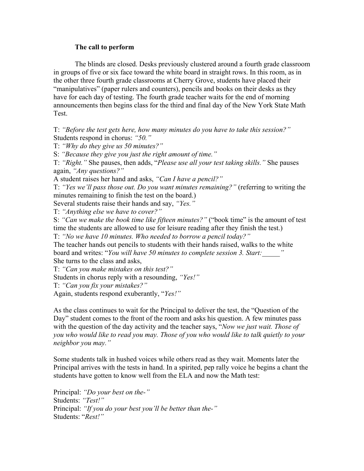## **The call to perform**

The blinds are closed. Desks previously clustered around a fourth grade classroom in groups of five or six face toward the white board in straight rows. In this room, as in the other three fourth grade classrooms at Cherry Grove, students have placed their "manipulatives" (paper rulers and counters), pencils and books on their desks as they have for each day of testing. The fourth grade teacher waits for the end of morning announcements then begins class for the third and final day of the New York State Math Test.

T: *"Before the test gets here, how many minutes do you have to take this session?"*  Students respond in chorus: *"50."* 

T: *"Why do they give us 50 minutes?"* 

S: *"Because they give you just the right amount of time."* 

T: *"Right."* She pauses, then adds, "*Please use all your test taking skills."* She pauses again, *"Any questions?"* 

A student raises her hand and asks, *"Can I have a pencil?"* 

T: *"Yes we'll pass those out. Do you want minutes remaining?"* (referring to writing the minutes remaining to finish the test on the board.)

Several students raise their hands and say, *"Yes."*

T: *"Anything else we have to cover?"* 

S: *"Can we make the book time like fifteen minutes?"* ("book time" is the amount of test time the students are allowed to use for leisure reading after they finish the test.)

T: *"No we have 10 minutes. Who needed to borrow a pencil today?"* 

The teacher hands out pencils to students with their hands raised, walks to the white board and writes: "*You will have 50 minutes to complete session 3. Start:\_\_\_\_\_"* She turns to the class and asks,

T: *"Can you make mistakes on this test?"* 

Students in chorus reply with a resounding, *"Yes!"* 

T: *"Can you fix your mistakes?"* 

Again, students respond exuberantly, "*Yes!"* 

As the class continues to wait for the Principal to deliver the test, the "Question of the Day" student comes to the front of the room and asks his question. A few minutes pass with the question of the day activity and the teacher says, "*Now we just wait. Those of you who would like to read you may. Those of you who would like to talk quietly to your neighbor you may."* 

Some students talk in hushed voices while others read as they wait. Moments later the Principal arrives with the tests in hand. In a spirited, pep rally voice he begins a chant the students have gotten to know well from the ELA and now the Math test:

Principal: *"Do your best on the-"*  Students: *"Test!"*  Principal: *"If you do your best you'll be better than the-"*  Students: "*Rest!"*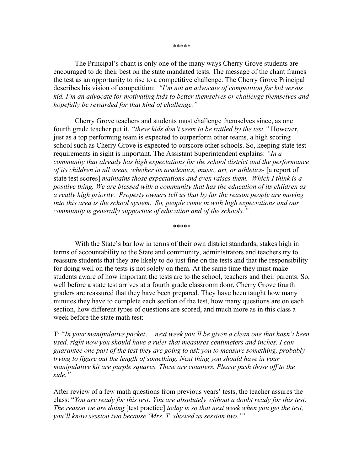\*\*\*\*\*

The Principal's chant is only one of the many ways Cherry Grove students are encouraged to do their best on the state mandated tests. The message of the chant frames the test as an opportunity to rise to a competitive challenge. The Cherry Grove Principal describes his vision of competition: *"I'm not an advocate of competition for kid versus kid. I'm an advocate for motivating kids to better themselves or challenge themselves and hopefully be rewarded for that kind of challenge."* 

 Cherry Grove teachers and students must challenge themselves since, as one fourth grade teacher put it, *"these kids don't seem to be rattled by the test."* However, just as a top performing team is expected to outperform other teams, a high scoring school such as Cherry Grove is expected to outscore other schools. So, keeping state test requirements in sight is important. The Assistant Superintendent explains: *"In a community that already has high expectations for the school district and the performance of its children in all areas, whether its academics, music, art, or athletics-* [a report of state test scores] *maintains those expectations and even raises them. Which I think is a positive thing. We are blessed with a community that has the education of its children as a really high priority. Property owners tell us that by far the reason people are moving into this area is the school system. So, people come in with high expectations and our community is generally supportive of education and of the schools."*

\*\*\*\*\*

With the State's bar low in terms of their own district standards, stakes high in terms of accountability to the State and community, administrators and teachers try to reassure students that they are likely to do just fine on the tests and that the responsibility for doing well on the tests is not solely on them. At the same time they must make students aware of how important the tests are to the school, teachers and their parents. So, well before a state test arrives at a fourth grade classroom door, Cherry Grove fourth graders are reassured that they have been prepared. They have been taught how many minutes they have to complete each section of the test, how many questions are on each section, how different types of questions are scored, and much more as in this class a week before the state math test:

T: "*In your manipulative packet…, next week you'll be given a clean one that hasn't been used, right now you should have a ruler that measures centimeters and inches. I can guarantee one part of the test they are going to ask you to measure something, probably trying to figure out the length of something. Next thing you should have in your manipulative kit are purple squares. These are counters. Please push those off to the side."* 

After review of a few math questions from previous years' tests, the teacher assures the class: "*You are ready for this test: You are absolutely without a doubt ready for this test. The reason we are doing* [test practice] *today is so that next week when you get the test, you'll know session two because 'Mrs. T. showed us session two.'"*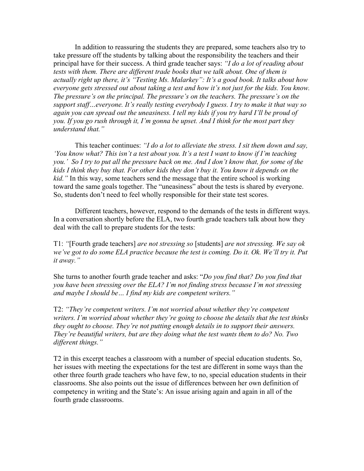In addition to reassuring the students they are prepared, some teachers also try to take pressure off the students by talking about the responsibility the teachers and their principal have for their success. A third grade teacher says: *"I do a lot of reading about tests with them. There are different trade books that we talk about. One of them is actually right up there, it's "Testing Ms. Malarkey": It's a good book. It talks about how everyone gets stressed out about taking a test and how it's not just for the kids. You know. The pressure's on the principal. The pressure's on the teachers. The pressure's on the support staff…everyone. It's really testing everybody I guess. I try to make it that way so again you can spread out the uneasiness. I tell my kids if you try hard I'll be proud of you. If you go rush through it, I'm gonna be upset. And I think for the most part they understand that."* 

 This teacher continues: *"I do a lot to alleviate the stress. I sit them down and say, 'You know what? This isn't a test about you. It's a test I want to know if I'm teaching you.' So I try to put all the pressure back on me. And I don't know that, for some of the kids I think they buy that. For other kids they don't buy it. You know it depends on the kid."* In this way, some teachers send the message that the entire school is working toward the same goals together. The "uneasiness" about the tests is shared by everyone. So, students don't need to feel wholly responsible for their state test scores.

Different teachers, however, respond to the demands of the tests in different ways. In a conversation shortly before the ELA, two fourth grade teachers talk about how they deal with the call to prepare students for the tests:

T1: *"*[Fourth grade teachers] *are not stressing so* [students] *are not stressing. We say ok*  we've got to do some ELA practice because the test is coming. Do it. Ok. We'll try it. Put *it away."* 

She turns to another fourth grade teacher and asks: "*Do you find that? Do you find that you have been stressing over the ELA? I'm not finding stress because I'm not stressing and maybe I should be… I find my kids are competent writers."* 

T2: *"They're competent writers. I'm not worried about whether they're competent writers. I'm worried about whether they're going to choose the details that the test thinks they ought to choose. They're not putting enough details in to support their answers. They're beautiful writers, but are they doing what the test wants them to do? No. Two different things."* 

T2 in this excerpt teaches a classroom with a number of special education students. So, her issues with meeting the expectations for the test are different in some ways than the other three fourth grade teachers who have few, to no, special education students in their classrooms. She also points out the issue of differences between her own definition of competency in writing and the State's: An issue arising again and again in all of the fourth grade classrooms.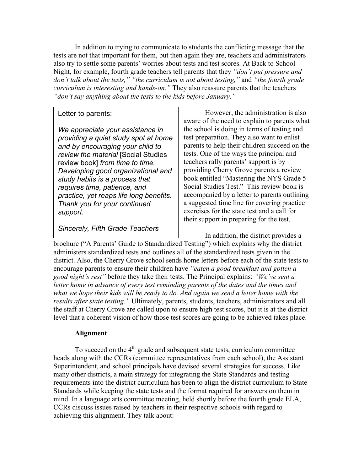In addition to trying to communicate to students the conflicting message that the tests are not that important for them, but then again they are, teachers and administrators also try to settle some parents' worries about tests and test scores. At Back to School Night, for example, fourth grade teachers tell parents that they *"don't put pressure and don't talk about the tests," "the curriculum is not about testing,"* and *"the fourth grade curriculum is interesting and hands-on."* They also reassure parents that the teachers *"don't say anything about the tests to the kids before January."* 

## Letter to parents:

*We appreciate your assistance in providing a quiet study spot at home and by encouraging your child to review the material* [Social Studies review book] *from time to time. Developing good organizational and study habits is a process that requires time, patience, and practice, yet reaps life long benefits. Thank you for your continued support*.

*Sincerely, Fifth Grade Teachers*

However, the administration is also aware of the need to explain to parents what the school is doing in terms of testing and test preparation. They also want to enlist parents to help their children succeed on the tests. One of the ways the principal and teachers rally parents' support is by providing Cherry Grove parents a review book entitled "Mastering the NYS Grade 5 Social Studies Test." This review book is accompanied by a letter to parents outlining a suggested time line for covering practice exercises for the state test and a call for their support in preparing for the test.

In addition, the district provides a

brochure ("A Parents' Guide to Standardized Testing") which explains why the district administers standardized tests and outlines all of the standardized tests given in the district. Also, the Cherry Grove school sends home letters before each of the state tests to encourage parents to ensure their children have *"eaten a good breakfast and gotten a good night's rest"* before they take their tests. The Principal explains: *"We've sent a letter home in advance of every test reminding parents of the dates and the times and what we hope their kids will be ready to do. And again we send a letter home with the results after state testing."* Ultimately, parents, students, teachers, administrators and all the staff at Cherry Grove are called upon to ensure high test scores, but it is at the district level that a coherent vision of how those test scores are going to be achieved takes place.

## **Alignment**

To succeed on the  $4<sup>th</sup>$  grade and subsequent state tests, curriculum committee heads along with the CCRs (committee representatives from each school), the Assistant Superintendent, and school principals have devised several strategies for success. Like many other districts, a main strategy for integrating the State Standards and testing requirements into the district curriculum has been to align the district curriculum to State Standards while keeping the state tests and the format required for answers on them in mind. In a language arts committee meeting, held shortly before the fourth grade ELA, CCRs discuss issues raised by teachers in their respective schools with regard to achieving this alignment. They talk about: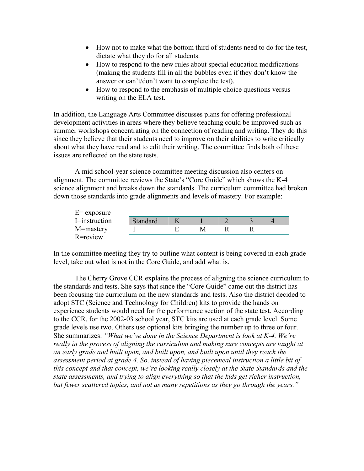- How not to make what the bottom third of students need to do for the test, dictate what they do for all students.
- How to respond to the new rules about special education modifications (making the students fill in all the bubbles even if they don't know the answer or can't/don't want to complete the test).
- How to respond to the emphasis of multiple choice questions versus writing on the ELA test.

In addition, the Language Arts Committee discusses plans for offering professional development activities in areas where they believe teaching could be improved such as summer workshops concentrating on the connection of reading and writing. They do this since they believe that their students need to improve on their abilities to write critically about what they have read and to edit their writing. The committee finds both of these issues are reflected on the state tests.

A mid school-year science committee meeting discussion also centers on alignment. The committee reviews the State's "Core Guide" which shows the K-4 science alignment and breaks down the standards. The curriculum committee had broken down those standards into grade alignments and levels of mastery. For example:

| $E=$ exposure |          |  |  |  |
|---------------|----------|--|--|--|
| I=instruction | Standard |  |  |  |
| M=mastery     |          |  |  |  |
| R=review      |          |  |  |  |

In the committee meeting they try to outline what content is being covered in each grade level, take out what is not in the Core Guide, and add what is.

 The Cherry Grove CCR explains the process of aligning the science curriculum to the standards and tests. She says that since the "Core Guide" came out the district has been focusing the curriculum on the new standards and tests. Also the district decided to adopt STC (Science and Technology for Children) kits to provide the hands on experience students would need for the performance section of the state test. According to the CCR, for the 2002-03 school year, STC kits are used at each grade level. Some grade levels use two. Others use optional kits bringing the number up to three or four. She summarizes: *"What we've done in the Science Department is look at K-4. We're really in the process of aligning the curriculum and making sure concepts are taught at an early grade and built upon, and built upon, and built upon until they reach the assessment period at grade 4. So, instead of having piecemeal instruction a little bit of this concept and that concept, we're looking really closely at the State Standards and the state assessments, and trying to align everything so that the kids get richer instruction, but fewer scattered topics, and not as many repetitions as they go through the years."*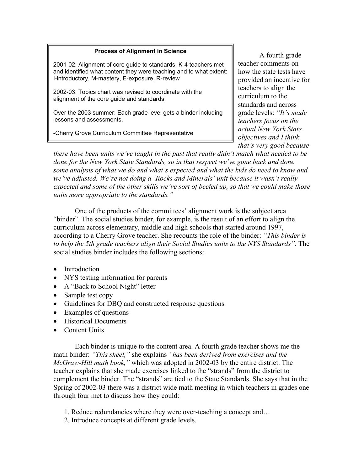## **Process of Alignment in Science**

2001-02: Alignment of core guide to standards. K-4 teachers met and identified what content they were teaching and to what extent: I-introductory, M-mastery, E-exposure, R-review

2002-03: Topics chart was revised to coordinate with the alignment of the core guide and standards.

Over the 2003 summer: Each grade level gets a binder including lessons and assessments.

-Cherry Grove Curriculum Committee Representative

A fourth grade teacher comments on how the state tests have provided an incentive for teachers to align the curriculum to the standards and across grade levels: *"It's made teachers focus on the actual New York State objectives and I think that's very good because* 

*there have been units we've taught in the past that really didn't match what needed to be done for the New York State Standards, so in that respect we've gone back and done some analysis of what we do and what's expected and what the kids do need to know and we've adjusted. We're not doing a 'Rocks and Minerals' unit because it wasn't really expected and some of the other skills we've sort of beefed up, so that we could make those units more appropriate to the standards."* 

 One of the products of the committees' alignment work is the subject area "binder". The social studies binder, for example, is the result of an effort to align the curriculum across elementary, middle and high schools that started around 1997, according to a Cherry Grove teacher. She recounts the role of the binder: *"This binder is to help the 5th grade teachers align their Social Studies units to the NYS Standards".* The social studies binder includes the following sections:

- Introduction
- NYS testing information for parents
- A "Back to School Night" letter
- Sample test copy
- Guidelines for DBQ and constructed response questions
- Examples of questions
- Historical Documents
- Content Units

 Each binder is unique to the content area. A fourth grade teacher shows me the math binder: *"This sheet,"* she explains *"has been derived from exercises and the McGraw-Hill math book,"* which was adopted in 2002-03 by the entire district. The teacher explains that she made exercises linked to the "strands" from the district to complement the binder. The "strands" are tied to the State Standards. She says that in the Spring of 2002-03 there was a district wide math meeting in which teachers in grades one through four met to discuss how they could:

- 1. Reduce redundancies where they were over-teaching a concept and…
- 2. Introduce concepts at different grade levels.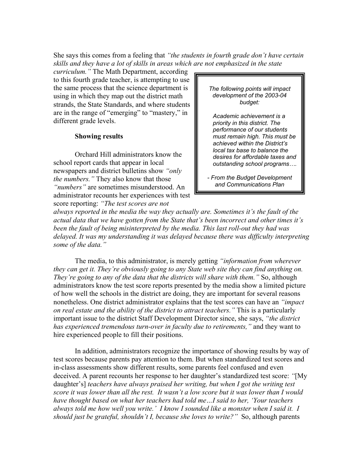She says this comes from a feeling that *"the students in fourth grade don't have certain skills and they have a lot of skills in areas which are not emphasized in the state* 

*curriculum."* The Math Department, according to this fourth grade teacher, is attempting to use the same process that the science department is using in which they map out the district math strands, the State Standards, and where students are in the range of "emerging" to "mastery," in different grade levels.

## **Showing results**

 Orchard Hill administrators know the school report cards that appear in local newspapers and district bulletins show *"only the numbers."* They also know that those *"numbers"* are sometimes misunderstood. An administrator recounts her experiences with test score reporting: *"The test scores are not* 

*The following points will impact development of the 2003-04 budget:* 

*Academic achievement is a priority in this district. The performance of our students must remain high. This must be achieved within the District's local tax base to balance the desires for affordable taxes and outstanding school programs….*

*- From the Budget Development and Communications Plan* 

*always reported in the media the way they actually are. Sometimes it's the fault of the actual data that we have gotten from the State that's been incorrect and other times it's been the fault of being misinterpreted by the media. This last roll-out they had was delayed. It was my understanding it was delayed because there was difficulty interpreting some of the data."* 

 The media, to this administrator, is merely getting *"information from wherever they can get it. They're obviously going to any State web site they can find anything on. They're going to any of the data that the districts will share with them.*" So, although administrators know the test score reports presented by the media show a limited picture of how well the schools in the district are doing, they are important for several reasons nonetheless. One district administrator explains that the test scores can have an *"impact on real estate and the ability of the district to attract teachers."* This is a particularly important issue to the district Staff Development Director since, she says, *"the district has experienced tremendous turn-over in faculty due to retirements,"* and they want to hire experienced people to fill their positions.

In addition, administrators recognize the importance of showing results by way of test scores because parents pay attention to them. But when standardized test scores and in-class assessments show different results, some parents feel confused and even deceived. A parent recounts her response to her daughter's standardized test score: *"*[My daughter's] *teachers have always praised her writing, but when I got the writing test score it was lower than all the rest. It wasn't a low score but it was lower than I would have thought based on what her teachers had told me…I said to her, 'Your teachers always told me how well you write.' I know I sounded like a monster when I said it. I should just be grateful, shouldn't I, because she loves to write?"* So, although parents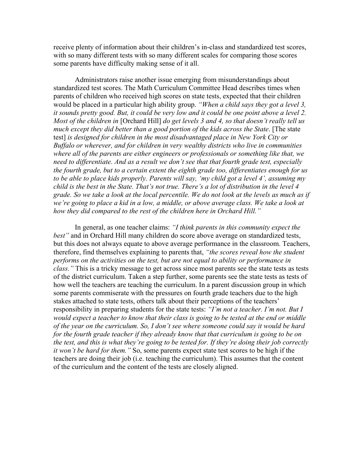receive plenty of information about their children's in-class and standardized test scores, with so many different tests with so many different scales for comparing those scores some parents have difficulty making sense of it all.

Administrators raise another issue emerging from misunderstandings about standardized test scores. The Math Curriculum Committee Head describes times when parents of children who received high scores on state tests, expected that their children would be placed in a particular high ability group. *"When a child says they got a level 3, it sounds pretty good. But, it could be very low and it could be one point above a level 2. Most of the children in* [Orchard Hill] *do get levels 3 and 4, so that doesn't really tell us much except they did better than a good portion of the kids across the State*. [The state test] *is designed for children in the most disadvantaged place in New York City or Buffalo or wherever, and for children in very wealthy districts who live in communities where all of the parents are either engineers or professionals or something like that, we need to differentiate. And as a result we don't see that that fourth grade test, especially the fourth grade, but to a certain extent the eighth grade too, differentiates enough for us to be able to place kids properly. Parents will say, 'my child got a level 4', assuming my child is the best in the State. That's not true. There's a lot of distribution in the level 4 grade. So we take a look at the local percentile. We do not look at the levels as much as if*  we're going to place a kid in a low, a middle, or above average class. We take a look at *how they did compared to the rest of the children here in Orchard Hill."* 

 In general, as one teacher claims: *"I think parents in this community expect the best"* and in Orchard Hill many children do score above average on standardized tests, but this does not always equate to above average performance in the classroom. Teachers, therefore, find themselves explaining to parents that, *"the scores reveal how the student performs on the activities on the test, but are not equal to ability or performance in class."* This is a tricky message to get across since most parents see the state tests as tests of the district curriculum. Taken a step further, some parents see the state tests as tests of how well the teachers are teaching the curriculum. In a parent discussion group in which some parents commiserate with the pressures on fourth grade teachers due to the high stakes attached to state tests, others talk about their perceptions of the teachers' responsibility in preparing students for the state tests: *"I'm not a teacher. I'm not. But I would expect a teacher to know that their class is going to be tested at the end or middle of the year on the curriculum. So, I don't see where someone could say it would be hard for the fourth grade teacher if they already know that that curriculum is going to be on the test, and this is what they're going to be tested for. If they're doing their job correctly it won't be hard for them."* So, some parents expect state test scores to be high if the teachers are doing their job (i.e. teaching the curriculum). This assumes that the content of the curriculum and the content of the tests are closely aligned.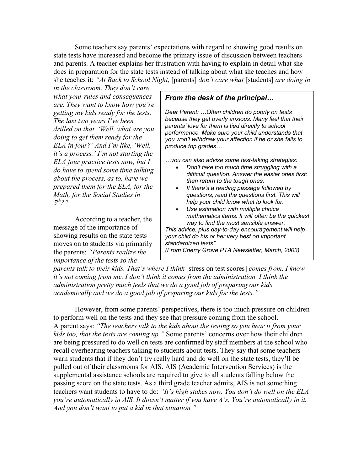Some teachers say parents' expectations with regard to showing good results on state tests have increased and become the primary issue of discussion between teachers and parents. A teacher explains her frustration with having to explain in detail what she does in preparation for the state tests instead of talking about what she teaches and how she teaches it: *"At Back to School Night,* [parents] *don't care what* [students] *are doing in*

*in the classroom. They don't care what your rules and consequences are. They want to know how you're getting my kids ready for the tests. The last two years I've been drilled on that. 'Well, what are you doing to get them ready for the ELA in four?' And I'm like, 'Well, it's a process.' I'm not starting the ELA four practice tests now, but I do have to spend some time talking about the process, as to, have we prepared them for the ELA, for the Math, for the Social Studies in 5th?"* 

 According to a teacher, the message of the importance of showing results on the state tests moves on to students via primarily the parents: *"Parents realize the importance of the tests so the* 

## *From the desk of the principal…*

*Dear Parent: …Often children do poorly on tests because they get overly anxious. Many feel that their parents' love for them is tied directly to school performance. Make sure your child understands that you won't withdraw your affection if he or she fails to produce top grades…* 

*…you can also advise some test-taking strategies:* 

- *Don't take too much time struggling with a difficult question. Answer the easier ones first; then return to the tough ones.*
- *If there's a reading passage followed by questions, read the questions first. This will help your child know what to look for.*
- *Use estimation with multiple choice mathematics items. It will often be the quickest way to find the most sensible answer.*

*This advice, plus day-to-day encouragement will help your child do his or her very best on important standardized tests".* 

*(From Cherry Grove PTA Newsletter, March, 2003)* 

*parents talk to their kids. That's where I think* [stress on test scores] *comes from. I know it's not coming from me. I don't think it comes from the administration. I think the administration pretty much feels that we do a good job of preparing our kids academically and we do a good job of preparing our kids for the tests."* 

 However, from some parents' perspectives, there is too much pressure on children to perform well on the tests and they see that pressure coming from the school. A parent says: *"The teachers talk to the kids about the testing so you hear it from your kids too, that the tests are coming up."* Some parents' concerns over how their children are being pressured to do well on tests are confirmed by staff members at the school who recall overhearing teachers talking to students about tests. They say that some teachers warn students that if they don't try really hard and do well on the state tests, they'll be pulled out of their classrooms for AIS. AIS (Academic Intervention Services) is the supplemental assistance schools are required to give to all students falling below the passing score on the state tests. As a third grade teacher admits, AIS is not something teachers want students to have to do: *"It's high stakes now. You don't do well on the ELA you're automatically in AIS. It doesn't matter if you have A's. You're automatically in it. And you don't want to put a kid in that situation."*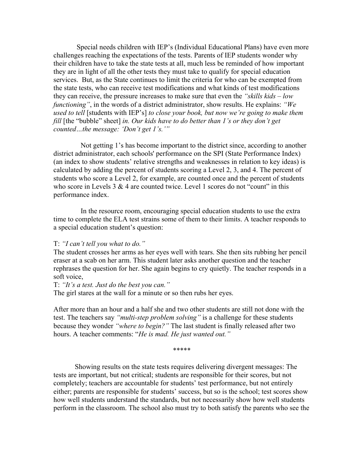Special needs children with IEP's (Individual Educational Plans) have even more challenges reaching the expectations of the tests. Parents of IEP students wonder why their children have to take the state tests at all, much less be reminded of how important they are in light of all the other tests they must take to qualify for special education services. But, as the State continues to limit the criteria for who can be exempted from the state tests, who can receive test modifications and what kinds of test modifications they can receive, the pressure increases to make sure that even the *"skills kids – low functioning"*, in the words of a district administrator, show results. He explains: *"We used to tell* [students with IEP's] *to close your book, but now we're going to make them fill* [the "bubble" sheet] in. Our kids have to do better than 1's or they don't get *counted…the message: 'Don't get 1's.'"* 

 Not getting 1's has become important to the district since, according to another district administrator, each schools' performance on the SPI (State Performance Index) (an index to show students' relative strengths and weaknesses in relation to key ideas) is calculated by adding the percent of students scoring a Level 2, 3, and 4. The percent of students who score a Level 2, for example, are counted once and the percent of students who score in Levels  $3 \& 4$  are counted twice. Level 1 scores do not "count" in this performance index.

 In the resource room, encouraging special education students to use the extra time to complete the ELA test strains some of them to their limits. A teacher responds to a special education student's question:

#### T: *"I can't tell you what to do."*

The student crosses her arms as her eyes well with tears. She then sits rubbing her pencil eraser at a scab on her arm. This student later asks another question and the teacher rephrases the question for her. She again begins to cry quietly. The teacher responds in a soft voice,

## T: *"It's a test. Just do the best you can."*

The girl stares at the wall for a minute or so then rubs her eyes.

After more than an hour and a half she and two other students are still not done with the test. The teachers say *"multi-step problem solving"* is a challenge for these students because they wonder *"where to begin?"* The last student is finally released after two hours. A teacher comments: "*He is mad. He just wanted out."*

\*\*\*\*\*

Showing results on the state tests requires delivering divergent messages: The tests are important, but not critical; students are responsible for their scores, but not completely; teachers are accountable for students' test performance, but not entirely either; parents are responsible for students' success, but so is the school; test scores show how well students understand the standards, but not necessarily show how well students perform in the classroom. The school also must try to both satisfy the parents who see the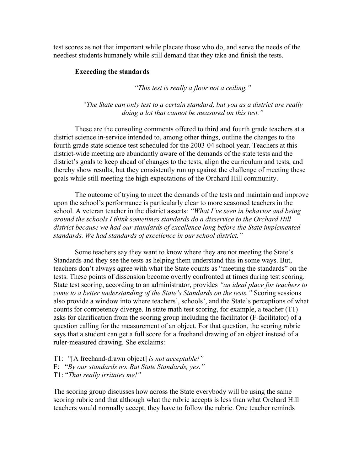test scores as not that important while placate those who do, and serve the needs of the neediest students humanely while still demand that they take and finish the tests.

## **Exceeding the standards**

*"This test is really a floor not a ceiling."* 

*"The State can only test to a certain standard, but you as a district are really doing a lot that cannot be measured on this test."* 

These are the consoling comments offered to third and fourth grade teachers at a district science in-service intended to, among other things, outline the changes to the fourth grade state science test scheduled for the 2003-04 school year. Teachers at this district-wide meeting are abundantly aware of the demands of the state tests and the district's goals to keep ahead of changes to the tests, align the curriculum and tests, and thereby show results, but they consistently run up against the challenge of meeting these goals while still meeting the high expectations of the Orchard Hill community.

The outcome of trying to meet the demands of the tests and maintain and improve upon the school's performance is particularly clear to more seasoned teachers in the school. A veteran teacher in the district asserts: *"What I've seen in behavior and being around the schools I think sometimes standards do a disservice to the Orchard Hill district because we had our standards of excellence long before the State implemented standards. We had standards of excellence in our school district."* 

Some teachers say they want to know where they are not meeting the State's Standards and they see the tests as helping them understand this in some ways. But, teachers don't always agree with what the State counts as "meeting the standards" on the tests. These points of dissension become overtly confronted at times during test scoring. State test scoring, according to an administrator, provides *"an ideal place for teachers to come to a better understanding of the State's Standards on the tests."* Scoring sessions also provide a window into where teachers', schools', and the State's perceptions of what counts for competency diverge. In state math test scoring, for example, a teacher (T1) asks for clarification from the scoring group including the facilitator (F-facilitator) of a question calling for the measurement of an object. For that question, the scoring rubric says that a student can get a full score for a freehand drawing of an object instead of a ruler-measured drawing. She exclaims:

T1: *"*[A freehand-drawn object] *is not acceptable!"*  F: "*By our standards no. But State Standards, yes."* T1: "*That really irritates me!"* 

The scoring group discusses how across the State everybody will be using the same scoring rubric and that although what the rubric accepts is less than what Orchard Hill teachers would normally accept, they have to follow the rubric. One teacher reminds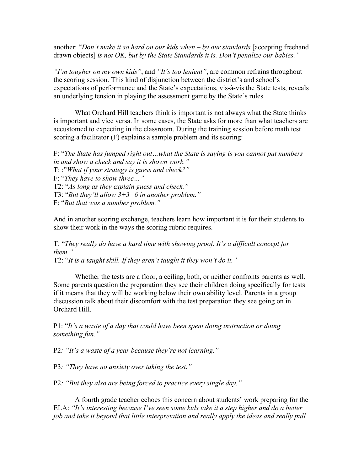another: "*Don't make it so hard on our kids when – by our standards* [accepting freehand drawn objects] *is not OK, but by the State Standards it is. Don't penalize our babies."*

*"I'm tougher on my own kids"*, and *"It's too lenient"*, are common refrains throughout the scoring session. This kind of disjunction between the district's and school's expectations of performance and the State's expectations, vis-à-vis the State tests, reveals an underlying tension in playing the assessment game by the State's rules.

What Orchard Hill teachers think is important is not always what the State thinks is important and vice versa. In some cases, the State asks for more than what teachers are accustomed to expecting in the classroom. During the training session before math test scoring a facilitator (F) explains a sample problem and its scoring:

- F: "*The State has jumped right out…what the State is saying is you cannot put numbers in and show a check and say it is shown work."*
- T: :"*What if your strategy is guess and check?"*
- F: "*They have to show three…"*

T2: "*As long as they explain guess and check."* 

T3: "*But they'll allow 3+3=6 in another problem."* 

F: "*But that was a number problem."* 

And in another scoring exchange, teachers learn how important it is for their students to show their work in the ways the scoring rubric requires.

T: "*They really do have a hard time with showing proof. It's a difficult concept for them."* 

T2: "*It is a taught skill. If they aren't taught it they won't do it."* 

 Whether the tests are a floor, a ceiling, both, or neither confronts parents as well. Some parents question the preparation they see their children doing specifically for tests if it means that they will be working below their own ability level. Parents in a group discussion talk about their discomfort with the test preparation they see going on in Orchard Hill.

P1: "*It's a waste of a day that could have been spent doing instruction or doing something fun."*

P2*: "It's a waste of a year because they're not learning."*

P3*: "They have no anxiety over taking the test."*

P2*: "But they also are being forced to practice every single day."* 

 A fourth grade teacher echoes this concern about students' work preparing for the ELA: *"It's interesting because I've seen some kids take it a step higher and do a better job and take it beyond that little interpretation and really apply the ideas and really pull*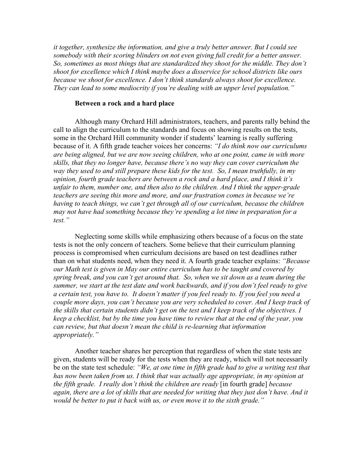*it together, synthesize the information, and give a truly better answer. But I could see*  somebody with their scoring blinders on not even giving full credit for a better answer. *So, sometimes as most things that are standardized they shoot for the middle. They don't shoot for excellence which I think maybe does a disservice for school districts like ours because we shoot for excellence. I don't think standards always shoot for excellence. They can lead to some mediocrity if you're dealing with an upper level population."*

#### **Between a rock and a hard place**

Although many Orchard Hill administrators, teachers, and parents rally behind the call to align the curriculum to the standards and focus on showing results on the tests, some in the Orchard Hill community wonder if students' learning is really suffering because of it. A fifth grade teacher voices her concerns: *"I do think now our curriculums are being aligned, but we are now seeing children, who at one point, came in with more skills, that they no longer have, because there's no way they can cover curriculum the way they used to and still prepare these kids for the test. So, I mean truthfully, in my opinion, fourth grade teachers are between a rock and a hard place, and I think it's unfair to them, number one, and then also to the children. And I think the upper-grade teachers are seeing this more and more, and our frustration comes in because we're having to teach things, we can't get through all of our curriculum, because the children may not have had something because they're spending a lot time in preparation for a test."* 

 Neglecting some skills while emphasizing others because of a focus on the state tests is not the only concern of teachers. Some believe that their curriculum planning process is compromised when curriculum decisions are based on test deadlines rather than on what students need, when they need it. A fourth grade teacher explains: *"Because our Math test is given in May our entire curriculum has to be taught and covered by spring break, and you can't get around that. So, when we sit down as a team during the summer, we start at the test date and work backwards, and if you don't feel ready to give a certain test, you have to. It doesn't matter if you feel ready to. If you feel you need a couple more days, you can't because you are very scheduled to cover. And I keep track of the skills that certain students didn't get on the test and I keep track of the objectives. I keep a checklist, but by the time you have time to review that at the end of the year, you can review, but that doesn't mean the child is re-learning that information appropriately."*

 Another teacher shares her perception that regardless of when the state tests are given, students will be ready for the tests when they are ready, which will not necessarily be on the state test schedule: *"We, at one time in fifth grade had to give a writing test that*  has now been taken from us. I think that was actually age appropriate, in my opinion at *the fifth grade. I really don't think the children are ready* [in fourth grade] *because again, there are a lot of skills that are needed for writing that they just don't have. And it would be better to put it back with us, or even move it to the sixth grade."*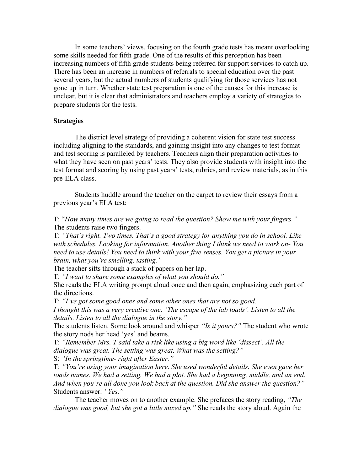In some teachers' views, focusing on the fourth grade tests has meant overlooking some skills needed for fifth grade. One of the results of this perception has been increasing numbers of fifth grade students being referred for support services to catch up. There has been an increase in numbers of referrals to special education over the past several years, but the actual numbers of students qualifying for those services has not gone up in turn. Whether state test preparation is one of the causes for this increase is unclear, but it is clear that administrators and teachers employ a variety of strategies to prepare students for the tests.

## **Strategies**

The district level strategy of providing a coherent vision for state test success including aligning to the standards, and gaining insight into any changes to test format and test scoring is paralleled by teachers. Teachers align their preparation activities to what they have seen on past years' tests. They also provide students with insight into the test format and scoring by using past years' tests, rubrics, and review materials, as in this pre-ELA class.

 Students huddle around the teacher on the carpet to review their essays from a previous year's ELA test:

T: "*How many times are we going to read the question? Show me with your fingers."* The students raise two fingers.

T: *"That's right. Two times. That's a good strategy for anything you do in school. Like with schedules. Looking for information. Another thing I think we need to work on- You need to use details! You need to think with your five senses. You get a picture in your brain, what you're smelling, tasting."* 

The teacher sifts through a stack of papers on her lap.

T: *"I want to share some examples of what you should do."*

She reads the ELA writing prompt aloud once and then again, emphasizing each part of the directions.

T: *"I've got some good ones and some other ones that are not so good.* 

*I thought this was a very creative one: 'The escape of the lab toads'. Listen to all the details. Listen to all the dialogue in the story."* 

The students listen. Some look around and whisper *"Is it yours?"* The student who wrote the story nods her head 'yes' and beams.

T: *"Remember Mrs. T said take a risk like using a big word like 'dissect'. All the dialogue was great. The setting was great. What was the setting?"* 

S: *"In the springtime- right after Easter."* 

T: *"You're using your imagination here. She used wonderful details. She even gave her*  toads names. We had a setting. We had a plot. She had a beginning, middle, and an end. *And when you're all done you look back at the question. Did she answer the question?"*  Students answer: *"Yes."* 

 The teacher moves on to another example. She prefaces the story reading, *"The dialogue was good, but she got a little mixed up."* She reads the story aloud. Again the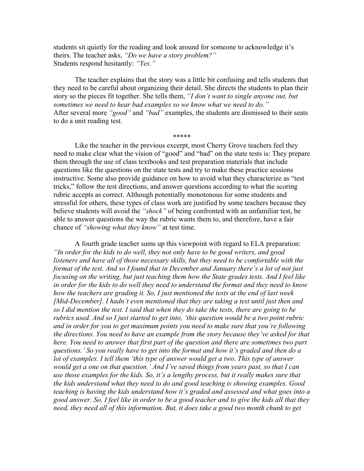students sit quietly for the reading and look around for someone to acknowledge it's theirs. The teacher asks, *"Do we have a story problem?"*  Students respond hesitantly: *"Yes."* 

 The teacher explains that the story was a little bit confusing and tells students that they need to be careful about organizing their detail. She directs the students to plan their story so the pieces fit together. She tells them, *"I don't want to single anyone out, but sometimes we need to hear bad examples so we know what we need to do."*  After several more *"good"* and *"bad"* examples, the students are dismissed to their seats to do a unit reading test.

\*\*\*\*\*

Like the teacher in the previous excerpt, most Cherry Grove teachers feel they need to make clear what the vision of "good" and "bad" on the state tests is: They prepare them through the use of class textbooks and test preparation materials that include questions like the questions on the state tests and try to make these practice sessions instructive. Some also provide guidance on how to avoid what they characterize as "test tricks," follow the test directions, and answer questions according to what the scoring rubric accepts as correct. Although potentially monotonous for some students and stressful for others, these types of class work are justified by some teachers because they believe students will avoid the *"shock"* of being confronted with an unfamiliar test, be able to answer questions the way the rubric wants them to, and therefore, have a fair chance of *"showing what they know"* at test time.

 A fourth grade teacher sums up this viewpoint with regard to ELA preparation: *"In order for the kids to do well, they not only have to be good writers, and good listeners and have all of those necessary skills, but they need to be comfortable with the format of the test. And so I found that in December and January there's a lot of not just focusing on the writing, but just teaching them how the State grades tests. And I feel like in order for the kids to do well they need to understand the format and they need to know how the teachers are grading it. So, I just mentioned the tests at the end of last week [Mid-December]. I hadn't even mentioned that they are taking a test until just then and so I did mention the test. I said that when they do take the tests, there are going to be rubrics used. And so I just started to get into, 'this question would be a two point rubric and in order for you to get maximum points you need to make sure that you're following the directions. You need to have an example from the story because they've asked for that here. You need to answer that first part of the question and there are sometimes two part questions.' So you really have to get into the format and how it's graded and then do a*  lot of examples. I tell them 'this type of answer would get a two. This type of answer *would get a one on that question.' And I've saved things from years past, so that I can use those examples for the kids. So, it's a lengthy process, but it really makes sure that the kids understand what they need to do and good teaching is showing examples. Good teaching is having the kids understand how it's graded and assessed and what goes into a good answer. So, I feel like in order to be a good teacher and to give the kids all that they need, they need all of this information. But, it does take a good two month chunk to get*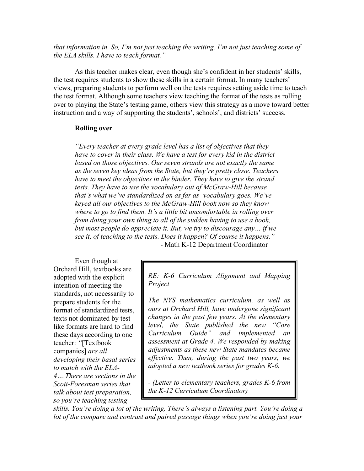*that information in. So, I'm not just teaching the writing. I'm not just teaching some of the ELA skills. I have to teach format."* 

 As this teacher makes clear, even though she's confident in her students' skills, the test requires students to show these skills in a certain format. In many teachers' views, preparing students to perform well on the tests requires setting aside time to teach the test format. Although some teachers view teaching the format of the tests as rolling over to playing the State's testing game, others view this strategy as a move toward better instruction and a way of supporting the students', schools', and districts' success.

## **Rolling over**

 *"Every teacher at every grade level has a list of objectives that they*  have to cover in their class. We have a test for every kid in the district  *based on those objectives. Our seven strands are not exactly the same as the seven key ideas from the State, but they're pretty close. Teachers have to meet the objectives in the binder. They have to give the strand tests. They have to use the vocabulary out of McGraw-Hill because that's what we've standardized on as far as vocabulary goes. We've keyed all our objectives to the McGraw-Hill book now so they know where to go to find them. It's a little bit uncomfortable in rolling over from doing your own thing to all of the sudden having to use a book, but most people do appreciate it. But, we try to discourage any… if we see it, of teaching to the tests. Does it happen? Of course it happens."*  - Math K-12 Department Coordinator

Even though at Orchard Hill, textbooks are adopted with the explicit intention of meeting the standards, not necessarily to prepare students for the format of standardized tests, texts not dominated by testlike formats are hard to find these days according to one teacher: *"*[Textbook companies] *are all developing their basal series to match with the ELA-4….There are sections in the* 

*Scott-Foresman series that talk about test preparation, so you're teaching testing* 

*RE: K-6 Curriculum Alignment and Mapping Project* 

*The NYS mathematics curriculum, as well as ours at Orchard Hill, have undergone significant changes in the past few years. At the elementary level, the State published the new "Core Curriculum Guide" and implemented an assessment at Grade 4. We responded by making adjustments as these new State mandates became effective. Then, during the past two years, we adopted a new textbook series for grades K-6.* 

*- (Letter to elementary teachers, grades K-6 from the K-12 Curriculum Coordinator)* 

*skills. You're doing a lot of the writing. There's always a listening part. You're doing a lot of the compare and contrast and paired passage things when you're doing just your*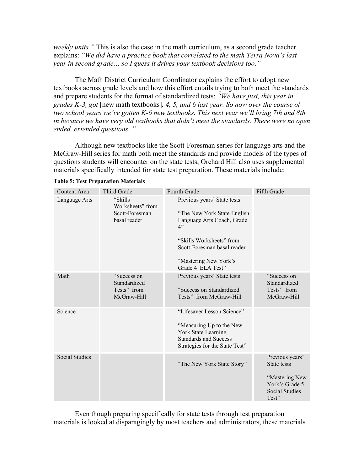*weekly units."* This is also the case in the math curriculum, as a second grade teacher explains: *"We did have a practice book that correlated to the math Terra Nova's last year in second grade… so I guess it drives your textbook decisions too."* 

 The Math District Curriculum Coordinator explains the effort to adopt new textbooks across grade levels and how this effort entails trying to both meet the standards and prepare students for the format of standardized tests: *"We have just, this year in grades K-3, got* [new math textbooks]*. 4, 5, and 6 last year. So now over the course of two school years we've gotten K-6 new textbooks. This next year we'll bring 7th and 8th in because we have very old textbooks that didn't meet the standards. There were no open ended, extended questions. "* 

Although new textbooks like the Scott-Foresman series for language arts and the McGraw-Hill series for math both meet the standards and provide models of the types of questions students will encounter on the state tests, Orchard Hill also uses supplemental materials specifically intended for state test preparation. These materials include:

| <b>Content Area</b>   | Third Grade                                                   | Fourth Grade                                                                                                                                                                                             | Fifth Grade                                                                                   |
|-----------------------|---------------------------------------------------------------|----------------------------------------------------------------------------------------------------------------------------------------------------------------------------------------------------------|-----------------------------------------------------------------------------------------------|
| Language Arts         | "Skills<br>Worksheets" from<br>Scott-Foresman<br>basal reader | Previous years' State tests<br>"The New York State English"<br>Language Arts Coach, Grade<br>4"<br>"Skills Worksheets" from<br>Scott-Foresman basal reader<br>"Mastering New York's<br>Grade 4 ELA Test" |                                                                                               |
| Math                  | "Success on<br>Standardized<br>Tests" from<br>McGraw-Hill     | Previous years' State tests<br>"Success on Standardized<br>Tests" from McGraw-Hill                                                                                                                       | "Success on<br>Standardized<br>Tests" from<br>McGraw-Hill                                     |
| Science               |                                                               | "Lifesaver Lesson Science"<br>"Measuring Up to the New<br>York State Learning<br><b>Standards and Success</b><br>Strategies for the State Test"                                                          |                                                                                               |
| <b>Social Studies</b> |                                                               | "The New York State Story"                                                                                                                                                                               | Previous years'<br>State tests<br>"Mastering New<br>York's Grade 5<br>Social Studies<br>Test" |

**Table 5: Test Preparation Materials** 

 Even though preparing specifically for state tests through test preparation materials is looked at disparagingly by most teachers and administrators, these materials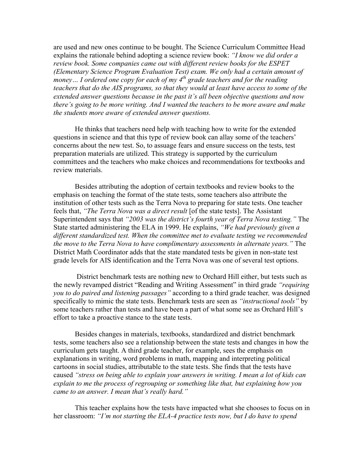are used and new ones continue to be bought. The Science Curriculum Committee Head explains the rationale behind adopting a science review book: *"I know we did order a review book. Some companies came out with different review books for the ESPET (Elementary Science Program Evaluation Test) exam. We only had a certain amount of money… I ordered one copy for each of my 4th grade teachers and for the reading teachers that do the AIS programs, so that they would at least have access to some of the extended answer questions because in the past it's all been objective questions and now there's going to be more writing. And I wanted the teachers to be more aware and make the students more aware of extended answer questions.* 

 He thinks that teachers need help with teaching how to write for the extended questions in science and that this type of review book can allay some of the teachers' concerns about the new test. So, to assuage fears and ensure success on the tests, test preparation materials are utilized. This strategy is supported by the curriculum committees and the teachers who make choices and recommendations for textbooks and review materials.

Besides attributing the adoption of certain textbooks and review books to the emphasis on teaching the format of the state tests, some teachers also attribute the institution of other tests such as the Terra Nova to preparing for state tests. One teacher feels that, *"The Terra Nova was a direct result* [of the state tests]. The Assistant Superintendent says that *"2003 was the district's fourth year of Terra Nova testing."* The State started administering the ELA in 1999. He explains, *"We had previously given a different standardized test. When the committee met to evaluate testing we recommended the move to the Terra Nova to have complimentary assessments in alternate years."* The District Math Coordinator adds that the state mandated tests be given in non-state test grade levels for AIS identification and the Terra Nova was one of several test options.

 District benchmark tests are nothing new to Orchard Hill either, but tests such as the newly revamped district "Reading and Writing Assessment" in third grade *"requiring you to do paired and listening passages"* according to a third grade teacher*,* was designed specifically to mimic the state tests. Benchmark tests are seen as *"instructional tools"* by some teachers rather than tests and have been a part of what some see as Orchard Hill's effort to take a proactive stance to the state tests.

Besides changes in materials, textbooks, standardized and district benchmark tests, some teachers also see a relationship between the state tests and changes in how the curriculum gets taught. A third grade teacher, for example, sees the emphasis on explanations in writing, word problems in math, mapping and interpreting political cartoons in social studies, attributable to the state tests. She finds that the tests have caused *"stress on being able to explain your answers in writing. I mean a lot of kids can explain to me the process of regrouping or something like that, but explaining how you came to an answer. I mean that's really hard."* 

 This teacher explains how the tests have impacted what she chooses to focus on in her classroom: *"I'm not starting the ELA-4 practice tests now, but I do have to spend*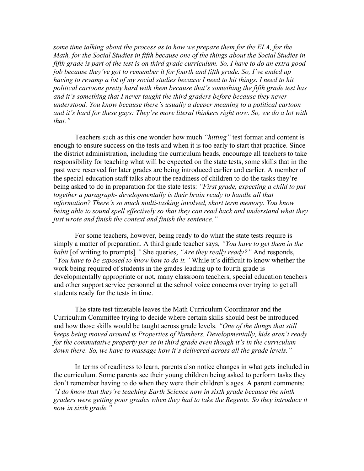*some time talking about the process as to how we prepare them for the ELA, for the Math, for the Social Studies in fifth because one of the things about the Social Studies in fifth grade is part of the test is on third grade curriculum. So, I have to do an extra good job because they've got to remember it for fourth and fifth grade. So, I've ended up having to revamp a lot of my social studies because I need to hit things. I need to hit political cartoons pretty hard with them because that's something the fifth grade test has and it's something that I never taught the third graders before because they never understood. You know because there's usually a deeper meaning to a political cartoon and it's hard for these guys: They're more literal thinkers right now. So, we do a lot with that."*

 Teachers such as this one wonder how much *"hitting"* test format and content is enough to ensure success on the tests and when it is too early to start that practice. Since the district administration, including the curriculum heads, encourage all teachers to take responsibility for teaching what will be expected on the state tests, some skills that in the past were reserved for later grades are being introduced earlier and earlier. A member of the special education staff talks about the readiness of children to do the tasks they're being asked to do in preparation for the state tests: *"First grade, expecting a child to put*  together a paragraph- developmentally is their brain ready to handle all that *information? There's so much multi-tasking involved, short term memory. You know being able to sound spell effectively so that they can read back and understand what they just wrote and finish the context and finish the sentence."* 

 For some teachers, however, being ready to do what the state tests require is simply a matter of preparation. A third grade teacher says, *"You have to get them in the habit* [of writing to prompts]*."* She queries, *"Are they really ready?"* And responds, *"You have to be exposed to know how to do it."* While it's difficult to know whether the work being required of students in the grades leading up to fourth grade is developmentally appropriate or not, many classroom teachers, special education teachers and other support service personnel at the school voice concerns over trying to get all students ready for the tests in time.

The state test timetable leaves the Math Curriculum Coordinator and the Curriculum Committee trying to decide where certain skills should best be introduced and how those skills would be taught across grade levels. *"One of the things that still keeps being moved around is Properties of Numbers. Developmentally, kids aren't ready for the commutative property per se in third grade even though it's in the curriculum down there. So, we have to massage how it's delivered across all the grade levels."* 

 In terms of readiness to learn, parents also notice changes in what gets included in the curriculum. Some parents see their young children being asked to perform tasks they don't remember having to do when they were their children's ages*.* A parent comments: *"I do know that they're teaching Earth Science now in sixth grade because the ninth graders were getting poor grades when they had to take the Regents. So they introduce it now in sixth grade."*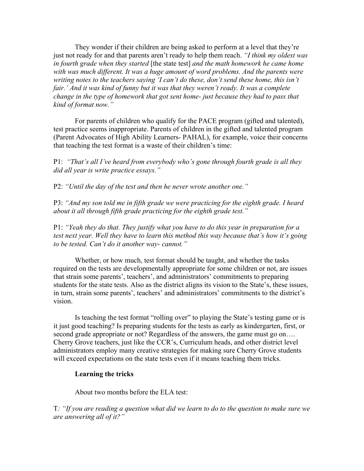They wonder if their children are being asked to perform at a level that they're just not ready for and that parents aren't ready to help them reach. *"I think my oldest was in fourth grade when they started* [the state test] *and the math homework he came home with was much different. It was a huge amount of word problems. And the parents were writing notes to the teachers saying 'I can't do these, don't send these home, this isn't*  fair.' And it was kind of funny but it was that they weren't ready. It was a complete *change in the type of homework that got sent home- just because they had to pass that kind of format now."* 

 For parents of children who qualify for the PACE program (gifted and talented), test practice seems inappropriate. Parents of children in the gifted and talented program (Parent Advocates of High Ability Learners- PAHAL), for example, voice their concerns that teaching the test format is a waste of their children's time:

P1: *"That's all I've heard from everybody who's gone through fourth grade is all they did all year is write practice essays."* 

P2: *"Until the day of the test and then he never wrote another one."* 

P3: *"And my son told me in fifth grade we were practicing for the eighth grade. I heard about it all through fifth grade practicing for the eighth grade test."* 

P1: *"Yeah they do that. They justify what you have to do this year in preparation for a test next year. Well they have to learn this method this way because that's how it's going to be tested. Can't do it another way- cannot."* 

Whether, or how much, test format should be taught, and whether the tasks required on the tests are developmentally appropriate for some children or not, are issues that strain some parents', teachers', and administrators' commitments to preparing students for the state tests. Also as the district aligns its vision to the State's, these issues, in turn, strain some parents', teachers' and administrators' commitments to the district's vision.

Is teaching the test format "rolling over" to playing the State's testing game or is it just good teaching? Is preparing students for the tests as early as kindergarten, first, or second grade appropriate or not? Regardless of the answers, the game must go on.... Cherry Grove teachers, just like the CCR's, Curriculum heads, and other district level administrators employ many creative strategies for making sure Cherry Grove students will exceed expectations on the state tests even if it means teaching them tricks.

## **Learning the tricks**

About two months before the ELA test:

T*: "If you are reading a question what did we learn to do to the question to make sure we are answering all of it?"*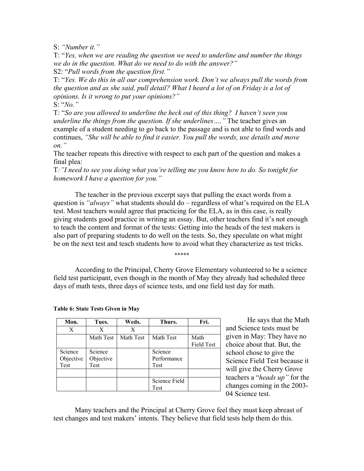S: *"Number it."* 

T: "*Yes, when we are reading the question we need to underline and number the things we do in the question. What do we need to do with the answer?"*  S2: "*Pull words from the question first."*

T: "*Yes. We do this in all our comprehension work. Don't we always pull the words from the question and as she said, pull detail? What I heard a lot of on Friday is a lot of opinions. Is it wrong to put your opinions?"*

S: "*No."*

T: "*So are you allowed to underline the heck out of this thing? I haven't seen you underline the things from the question. If she underlines…,"* The teacher gives an example of a student needing to go back to the passage and is not able to find words and continues, *"She will be able to find it easier. You pull the words, use details and move on."* 

The teacher repeats this directive with respect to each part of the question and makes a final plea:

T*:"I need to see you doing what you're telling me you know how to do. So tonight for homework I have a question for you."* 

 The teacher in the previous excerpt says that pulling the exact words from a question is *"always"* what students should do – regardless of what's required on the ELA test. Most teachers would agree that practicing for the ELA, as in this case, is really giving students good practice in writing an essay. But, other teachers find it's not enough to teach the content and format of the tests: Getting into the heads of the test makers is also part of preparing students to do well on the tests. So, they speculate on what might be on the next test and teach students how to avoid what they characterize as test tricks.

**\*\*\*\*\***

According to the Principal, Cherry Grove Elementary volunteered to be a science field test participant, even though in the month of May they already had scheduled three days of math tests, three days of science tests, and one field test day for math.

| Mon.      | Tues.     | Weds.     | Thurs.        | Fri.              |
|-----------|-----------|-----------|---------------|-------------------|
| X         | X         | X         |               |                   |
|           | Math Test | Math Test | Math Test     | Math              |
|           |           |           |               | <b>Field Test</b> |
| Science   | Science   |           | Science       |                   |
| Objective | Objective |           | Performance   |                   |
| Test      | Test      |           | Test          |                   |
|           |           |           |               |                   |
|           |           |           | Science Field |                   |
|           |           |           | Test          |                   |

**Table 6: State Tests Given in May** 

He says that the Math and Science tests must be given in May: They have no choice about that. But, the school chose to give the Science Field Test because it will give the Cherry Grove teachers a "*heads up"* for the changes coming in the 2003- 04 Science test.

Many teachers and the Principal at Cherry Grove feel they must keep abreast of test changes and test makers' intents. They believe that field tests help them do this.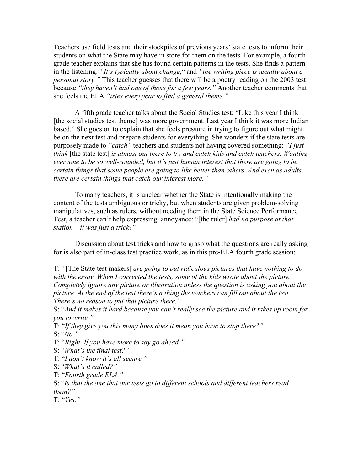Teachers use field tests and their stockpiles of previous years' state tests to inform their students on what the State may have in store for them on the tests. For example, a fourth grade teacher explains that she has found certain patterns in the tests. She finds a pattern in the listening: *"It's typically about change*," and *"the writing piece is usually about a personal story."* This teacher guesses that there will be a poetry reading on the 2003 test because *"they haven't had one of those for a few years."* Another teacher comments that she feels the ELA *"tries every year to find a general theme."*

A fifth grade teacher talks about the Social Studies test: "Like this year I think [the social studies test theme] was more government. Last year I think it was more Indian based." She goes on to explain that she feels pressure in trying to figure out what might be on the next test and prepare students for everything. She wonders if the state tests are purposely made to *"catch"* teachers and students not having covered something: *"I just think* [the state test] *is almost out there to try and catch kids and catch teachers. Wanting everyone to be so well-rounded, but it's just human interest that there are going to be certain things that some people are going to like better than others. And even as adults there are certain things that catch our interest more."* 

 To many teachers, it is unclear whether the State is intentionally making the content of the tests ambiguous or tricky, but when students are given problem-solving manipulatives, such as rulers, without needing them in the State Science Performance Test, a teacher can't help expressing annoyance: "[the ruler] *had no purpose at that station – it was just a trick!"*

Discussion about test tricks and how to grasp what the questions are really asking for is also part of in-class test practice work, as in this pre-ELA fourth grade session:

T: *"*[The State test makers] *are going to put ridiculous pictures that have nothing to do with the essay. When I corrected the tests, some of the kids wrote about the picture. Completely ignore any picture or illustration unless the question is asking you about the picture. At the end of the test there's a thing the teachers can fill out about the test. There's no reason to put that picture there."*

S: "*And it makes it hard because you can't really see the picture and it takes up room for you to write."*

T: "*If they give you this many lines does it mean you have to stop there?"*  S: "*No."*

T: "*Right. If you have more to say go ahead."* 

S: "*What's the final test?"*

T: "*I don't know it's all secure."* 

S: "*What's it called?"* 

T: "*Fourth grade ELA."* 

S: "*Is that the one that our tests go to different schools and different teachers read them?"*

T: "*Yes."*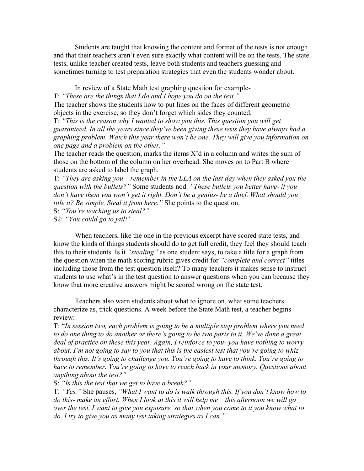Students are taught that knowing the content and format of the tests is not enough and that their teachers aren't even sure exactly what content will be on the tests. The state tests, unlike teacher created tests, leave both students and teachers guessing and sometimes turning to test preparation strategies that even the students wonder about.

In review of a State Math test graphing question for example-

T: *"These are the things that I do and I hope you do on the test."* 

The teacher shows the students how to put lines on the faces of different geometric objects in the exercise, so they don't forget which sides they counted.

T: *"This is the reason why I wanted to show you this. This question you will get guaranteed. In all the years since they've been giving these tests they have always had a graphing problem. Watch this year there won't be one. They will give you information on one page and a problem on the other."*

The teacher reads the question, marks the items X'd in a column and writes the sum of those on the bottom of the column on her overhead. She moves on to Part B where students are asked to label the graph.

T: *"They are asking you – remember in the ELA on the last day when they asked you the question with the bullets?"* Some students nod. *"These bullets you better have- if you don't have them you won't get it right. Don't be a genius- be a thief. What should you title it? Be simple. Steal it from here."* She points to the question.

S: *"You're teaching us to steal?"* 

S2: *"You could go to jail!"* 

 When teachers, like the one in the previous excerpt have scored state tests, and know the kinds of things students should do to get full credit, they feel they should teach this to their students. Is it *"stealing"* as one student says, to take a title for a graph from the question when the math scoring rubric gives credit for *"complete and correct"* titles including those from the test question itself? To many teachers it makes sense to instruct students to use what's in the test question to answer questions when you can because they know that more creative answers might be scored wrong on the state test.

Teachers also warn students about what to ignore on, what some teachers characterize as, trick questions. A week before the State Math test, a teacher begins review:

T: "*In session two, each problem is going to be a multiple step problem where you need to do one thing to do another or there's going to be two parts to it. We've done a great deal of practice on these this year. Again, I reinforce to you- you have nothing to worry about. I'm not going to say to you that this is the easiest test that you're going to whiz through this. It's going to challenge you. You're going to have to think. You're going to have to remember. You're going to have to reach back in your memory. Questions about anything about the test?"* 

S: *"Is this the test that we get to have a break?"* 

T: *"Yes."* She pauses, *"What I want to do is walk through this. If you don't know how to do this- make an effort. When I look at this it will help me – this afternoon we will go over the test. I want to give you exposure, so that when you come to it you know what to do. I try to give you as many test taking strategies as I can."*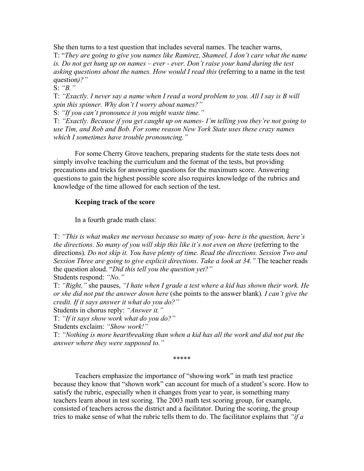She then turns to a test question that includes several names. The teacher warns, T: "*They are going to give you names like Ramirez, Shameel, I don't care what the name*  is. Do not get hung up on names – ever - ever. Don't raise your hand during the test *asking questions about the names. How would I read this (referring to a name in the test* question*)?"* 

S: *"B."* 

T: *"Exactly. I never say a name when I read a word problem to you. All I say is B will spin this spinner. Why don't I worry about names?"*

S: *"If you can't pronounce it you might waste time."* 

T: *"Exactly. Because if you get caught up on names- I'm telling you they're not going to use Tim, and Rob and Bob. For some reason New York State uses these crazy names which I sometimes have trouble pronouncing."* 

 For some Cherry Grove teachers, preparing students for the state tests does not simply involve teaching the curriculum and the format of the tests, but providing precautions and tricks for answering questions for the maximum score. Answering questions to gain the highest possible score also requires knowledge of the rubrics and knowledge of the time allowed for each section of the test.

## **Keeping track of the score**

In a fourth grade math class:

T: *"This is what makes me nervous because so many of you- here is the question, here's the directions. So many of you will skip this like it's not even on there* (referring to the directions)*. Do not skip it. You have plenty of time. Read the directions. Session Two and Session Three are going to give explicit directions. Take a look at 34."* The teacher reads the question aloud. "*Did this tell you the question yet?"* 

Students respond: *"No."* 

T: *"Right,"* she pauses, *"I hate when I grade a test where a kid has shown their work. He or she did not put the answer down here* (she points to the answer blank)*. I can't give the credit. If it says answer it what do you do?"* 

Students in chorus reply: *"Answer it."* 

T: *"If it says show work what do you do?"* 

Students exclaim: *"Show work!"* 

T: *"Nothing is more heartbreaking than when a kid has all the work and did not put the answer where they were supposed to."* 

\*\*\*\*\*

Teachers emphasize the importance of "showing work" in math test practice because they know that "shown work" can account for much of a student's score. How to satisfy the rubric, especially when it changes from year to year, is something many teachers learn about in test scoring. The 2003 math test scoring group, for example, consisted of teachers across the district and a facilitator. During the scoring, the group tries to make sense of what the rubric tells them to do. The facilitator explains that *"if a*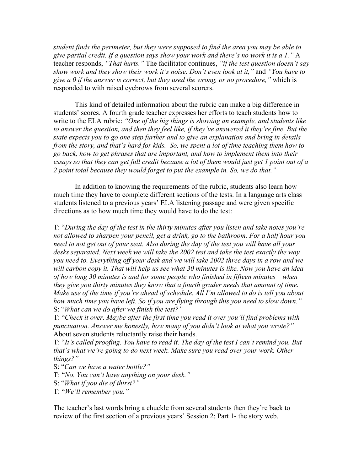*student finds the perimeter, but they were supposed to find the area you may be able to give partial credit. If a question says show your work and there's no work it is a 1."* A teacher responds, *"That hurts."* The facilitator continues, *"if the test question doesn't say show work and they show their work it's noise. Don't even look at it,"* and *"You have to give a 0 if the answer is correct, but they used the wrong, or no procedure,"* which is responded to with raised eyebrows from several scorers.

This kind of detailed information about the rubric can make a big difference in students' scores. A fourth grade teacher expresses her efforts to teach students how to write to the ELA rubric: *"One of the big things is showing an example, and students like to answer the question, and then they feel like, if they've answered it they're fine. But the state expects you to go one step further and to give an explanation and bring in details from the story, and that's hard for kids. So, we spent a lot of time teaching them how to go back, how to get phrases that are important, and how to implement them into their essays so that they can get full credit because a lot of them would just get 1 point out of a 2 point total because they would forget to put the example in. So, we do that."* 

In addition to knowing the requirements of the rubric, students also learn how much time they have to complete different sections of the tests. In a language arts class students listened to a previous years' ELA listening passage and were given specific directions as to how much time they would have to do the test:

T: "*During the day of the test in the thirty minutes after you listen and take notes you're not allowed to sharpen your pencil, get a drink, go to the bathroom. For a half hour you need to not get out of your seat. Also during the day of the test you will have all your desks separated. Next week we will take the 2002 test and take the test exactly the way you need to. Everything off your desk and we will take 2002 three days in a row and we will carbon copy it. That will help us see what 30 minutes is like. Now you have an idea of how long 30 minutes is and for some people who finished in fifteen minutes – when they give you thirty minutes they know that a fourth grader needs that amount of time. Make use of the time if you're ahead of schedule. All I'm allowed to do is tell you about how much time you have left. So if you are flying through this you need to slow down."*  S: "*What can we do after we finish the test?"* 

T: "*Check it over. Maybe after the first time you read it over you'll find problems with punctuation. Answer me honestly, how many of you didn't look at what you wrote?"*  About seven students reluctantly raise their hands.

T: "*It's called proofing. You have to read it. The day of the test I can't remind you. But that's what we're going to do next week. Make sure you read over your work. Other things?"* 

- S: "*Can we have a water bottle?"*
- T: "*No. You can't have anything on your desk."*
- S: "*What if you die of thirst?"*
- T: "*We'll remember you."*

The teacher's last words bring a chuckle from several students then they're back to review of the first section of a previous years' Session 2: Part 1- the story web.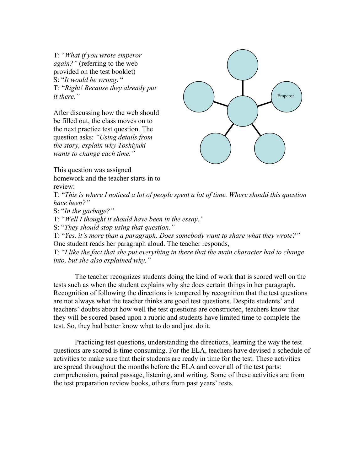T: "*What if you wrote emperor again?"* (referring to the web provided on the test booklet) S: "*It would be wrong*. " T: "*Right! Because they already put it there."* 

After discussing how the web should be filled out, the class moves on to the next practice test question. The question asks: *"Using details from the story, explain why Toshiyuki wants to change each time."* 



This question was assigned homework and the teacher starts in to review:

T: "*This is where I noticed a lot of people spent a lot of time. Where should this question have been?"* 

S: "*In the garbage?"*

T: "*Well I thought it should have been in the essay."* 

S: "*They should stop using that question."*

T: "*Yes, it's more than a paragraph. Does somebody want to share what they wrote?"*  One student reads her paragraph aloud. The teacher responds,

T: "*I like the fact that she put everything in there that the main character had to change into, but she also explained why."* 

 The teacher recognizes students doing the kind of work that is scored well on the tests such as when the student explains why she does certain things in her paragraph. Recognition of following the directions is tempered by recognition that the test questions are not always what the teacher thinks are good test questions. Despite students' and teachers' doubts about how well the test questions are constructed, teachers know that they will be scored based upon a rubric and students have limited time to complete the test. So, they had better know what to do and just do it.

 Practicing test questions, understanding the directions, learning the way the test questions are scored is time consuming. For the ELA, teachers have devised a schedule of activities to make sure that their students are ready in time for the test. These activities are spread throughout the months before the ELA and cover all of the test parts: comprehension, paired passage, listening, and writing. Some of these activities are from the test preparation review books, others from past years' tests.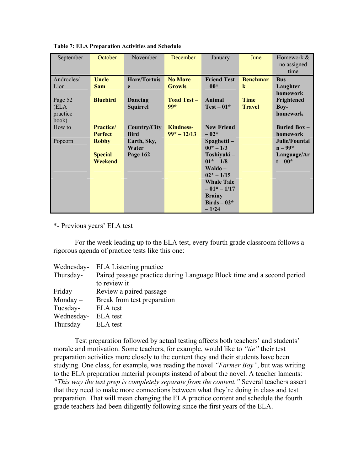| September  | October         | November        | December           | January                     | June            | Homework &     |
|------------|-----------------|-----------------|--------------------|-----------------------------|-----------------|----------------|
|            |                 |                 |                    |                             |                 | no assigned    |
|            |                 |                 |                    |                             |                 | time           |
| Androcles/ | Uncle           | Hare/Tortois    | <b>No More</b>     | <b>Friend Test</b>          | <b>Benchmar</b> | <b>Bus</b>     |
| Lion       | <b>Sam</b>      | e               | <b>Growls</b>      | $-00*$                      | $\bf k$         | $L$ aughter –  |
|            |                 |                 |                    |                             |                 | homework       |
| Page 52    | <b>Bluebird</b> | Dancing         | <b>Toad Test –</b> | Animal                      | <b>Time</b>     | Frightened     |
| (ELA       |                 | <b>Squirrel</b> | $99*$              | $Test-01*$                  | <b>Travel</b>   | $Boy-$         |
| practice   |                 |                 |                    |                             |                 | homework       |
| book)      |                 |                 |                    |                             |                 |                |
| How to     | <b>Practice</b> | Country/City    | <b>Kindness-</b>   | <b>New Friend</b>           |                 | Buried Box $-$ |
|            | <b>Perfect</b>  | <b>Bird</b>     | $99* - 12/13$      | $-02*$                      |                 | homework       |
| Popcorn    | <b>Robby</b>    | Earth, Sky,     |                    | $S$ paghetti –              |                 | Julie/Fountai  |
|            |                 | Water           |                    | $00^* - 1/3$                |                 | $n - 99*$      |
|            | <b>Special</b>  | Page 162        |                    | Toshiyuki-                  |                 | Language/Ar    |
|            | Weekend         |                 |                    | $01^* - 1/8$                |                 | $t-00*$        |
|            |                 |                 |                    | $\mathbf{W}\mathbf{aldo} -$ |                 |                |
|            |                 |                 |                    | $02^* - 1/15$               |                 |                |
|            |                 |                 |                    | <b>Whale Tale</b>           |                 |                |
|            |                 |                 |                    | $-01* -1/17$                |                 |                |
|            |                 |                 |                    | <b>Brainy</b>               |                 |                |
|            |                 |                 |                    | Birds $-02*$                |                 |                |
|            |                 |                 |                    | $-1/24$                     |                 |                |

**Table 7: ELA Preparation Activities and Schedule** 

\*- Previous years' ELA test

For the week leading up to the ELA test, every fourth grade classroom follows a rigorous agenda of practice tests like this one:

| Wednesday- | <b>ELA</b> Listening practice                                          |
|------------|------------------------------------------------------------------------|
| Thursday-  | Paired passage practice during Language Block time and a second period |
|            | to review it                                                           |
| $Friday -$ | Review a paired passage                                                |
| $Monday -$ | Break from test preparation                                            |
| Tuesday-   | ELA test                                                               |
| Wednesday- | ELA test                                                               |
| Thursday-  | ELA test                                                               |

 Test preparation followed by actual testing affects both teachers' and students' morale and motivation. Some teachers, for example, would like to *"tie"* their test preparation activities more closely to the content they and their students have been studying. One class, for example, was reading the novel *"Farmer Boy"*, but was writing to the ELA preparation material prompts instead of about the novel. A teacher laments: *"This way the test prep is completely separate from the content."* Several teachers assert that they need to make more connections between what they're doing in class and test preparation. That will mean changing the ELA practice content and schedule the fourth grade teachers had been diligently following since the first years of the ELA.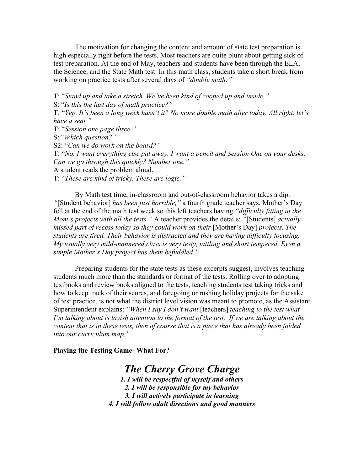The motivation for changing the content and amount of state test preparation is high especially right before the tests. Most teachers are quite blunt about getting sick of test preparation. At the end of May, teachers and students have been through the ELA, the Science, and the State Math test. In this math class, students take a short break from working on practice tests after several days of *"double math:"*

T: "*Stand up and take a stretch. We've been kind of cooped up and inside."*

S: "*Is this the last day of math practice?"* 

T: "*Yep. It's been a long week hasn't it? No more double math after today. All right, let's have a seat."* 

T: "*Session one page three."* 

S: "*Which question?"* 

S2: "*Can we do work on the board?"* 

T: "*No. I want everything else put away. I want a pencil and Session One on your desks. Can we go through this quickly? Number one."* 

A student reads the problem aloud.

T: "*These are kind of tricky. These are logic."* 

 By Math test time, in-classroom and out-of-classroom behavior takes a dip. *"*[Student behavior] *has been just horrible,"* a fourth grade teacher says. Mother's Day fell at the end of the math test week so this left teachers having *"difficulty fitting in the Mom's projects with all the tests."* A teacher provides the details: *"*[Students] *actually missed part of recess today so they could work on their* [Mother's Day] *projects. The students are tired. Their behavior is distracted and they are having difficulty focusing. My usually very mild-mannered class is very testy, tattling and short tempered. Even a simple Mother's Day project has them befuddled."* 

Preparing students for the state tests as these excerpts suggest, involves teaching students much more than the standards or format of the tests. Rolling over to adopting textbooks and review books aligned to the tests, teaching students test taking tricks and how to keep track of their scores, and foregoing or rushing holiday projects for the sake of test practice, is not what the district level vision was meant to promote, as the Assistant Superintendent explains: *"When I say I don't want* [teachers] *teaching to the test what I'm talking about is lavish attention to the format of the test. If we are talking about the content that is in these tests, then of course that is a piece that has already been folded into our curriculum map."*

**Playing the Testing Game- What For?** 

*The Cherry Grove Charge* 

*1. I will be respectful of myself and others 2. I will be responsible for my behavior 3. I will actively participate in learning 4. I will follow adult directions and good manners*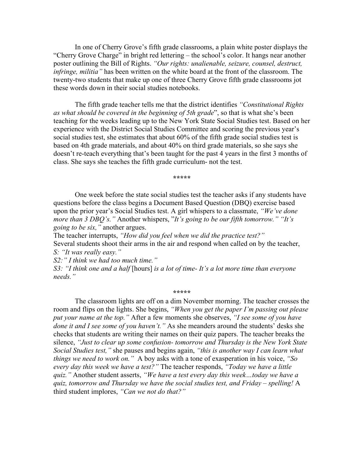In one of Cherry Grove's fifth grade classrooms, a plain white poster displays the "Cherry Grove Charge" in bright red lettering – the school's color. It hangs near another poster outlining the Bill of Rights. *"Our rights: unalienable, seizure, counsel, destruct, infringe, militia"* has been written on the white board at the front of the classroom. The twenty-two students that make up one of three Cherry Grove fifth grade classrooms jot these words down in their social studies notebooks.

The fifth grade teacher tells me that the district identifies *"Constitutional Rights as what should be covered in the beginning of 5th grade*", so that is what she's been teaching for the weeks leading up to the New York State Social Studies test. Based on her experience with the District Social Studies Committee and scoring the previous year's social studies test, she estimates that about 60% of the fifth grade social studies test is based on 4th grade materials, and about 40% on third grade materials, so she says she doesn't re-teach everything that's been taught for the past 4 years in the first 3 months of class. She says she teaches the fifth grade curriculum- not the test.

**\*\*\*\*\*** 

One week before the state social studies test the teacher asks if any students have questions before the class begins a Document Based Question (DBQ) exercise based upon the prior year's Social Studies test. A girl whispers to a classmate, *"We've done more than 3 DBQ's."* Another whispers, "*It's going to be our fifth tomorrow." "It's going to be six,"* another argues.

The teacher interrupts, *"How did you feel when we did the practice test?"*  Several students shoot their arms in the air and respond when called on by the teacher, *S: "It was really easy."* 

*S2:" I think we had too much time."* 

*S3: "I think one and a half* [hours] *is a lot of time- It's a lot more time than everyone needs."* 

**\*\*\*\*\***

The classroom lights are off on a dim November morning. The teacher crosses the room and flips on the lights. She begins, *"When you get the paper I'm passing out please put your name at the top."* After a few moments she observes, *"I see some of you have done it and I see some of you haven't."* As she meanders around the students' desks she checks that students are writing their names on their quiz papers. The teacher breaks the silence, *"Just to clear up some confusion- tomorrow and Thursday is the New York State Social Studies test,"* she pauses and begins again, *"this is another way I can learn what things we need to work on."* A boy asks with a tone of exasperation in his voice, *"So every day this week we have a test?"* The teacher responds, *"Today we have a little quiz."* Another student asserts, *"We have a test every day this week…today we have a quiz, tomorrow and Thursday we have the social studies test, and Friday – spelling!* A third student implores, *"Can we not do that?"*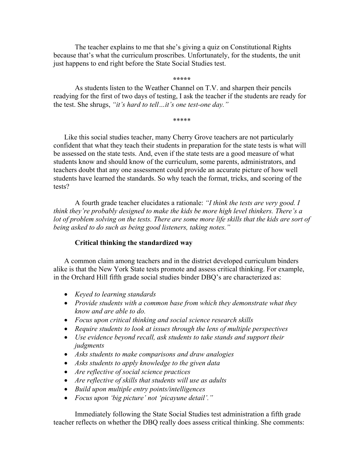The teacher explains to me that she's giving a quiz on Constitutional Rights because that's what the curriculum proscribes. Unfortunately, for the students, the unit just happens to end right before the State Social Studies test.

**\*\*\*\*\*** 

As students listen to the Weather Channel on T.V. and sharpen their pencils readying for the first of two days of testing, I ask the teacher if the students are ready for the test. She shrugs, *"it's hard to tell…it's one test-one day."* 

\*\*\*\*\*

Like this social studies teacher, many Cherry Grove teachers are not particularly confident that what they teach their students in preparation for the state tests is what will be assessed on the state tests. And, even if the state tests are a good measure of what students know and should know of the curriculum, some parents, administrators, and teachers doubt that any one assessment could provide an accurate picture of how well students have learned the standards. So why teach the format, tricks, and scoring of the tests?

A fourth grade teacher elucidates a rationale: *"I think the tests are very good. I think they're probably designed to make the kids be more high level thinkers. There's a*  lot of problem solving on the tests. There are some more life skills that the kids are sort of *being asked to do such as being good listeners, taking notes."*

## **Critical thinking the standardized way**

A common claim among teachers and in the district developed curriculum binders alike is that the New York State tests promote and assess critical thinking. For example, in the Orchard Hill fifth grade social studies binder DBQ's are characterized as:

- *Keyed to learning standards*
- *Provide students with a common base from which they demonstrate what they know and are able to do.*
- *Focus upon critical thinking and social science research skills*
- *Require students to look at issues through the lens of multiple perspectives*
- *Use evidence beyond recall, ask students to take stands and support their judgments*
- *Asks students to make comparisons and draw analogies*
- *Asks students to apply knowledge to the given data*
- *Are reflective of social science practices*
- *Are reflective of skills that students will use as adults*
- *Build upon multiple entry points/intelligences*
- *Focus upon 'big picture' not 'picayune detail'."*

 Immediately following the State Social Studies test administration a fifth grade teacher reflects on whether the DBQ really does assess critical thinking. She comments: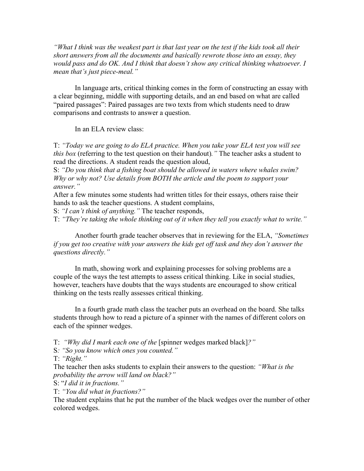*"What I think was the weakest part is that last year on the test if the kids took all their short answers from all the documents and basically rewrote those into an essay, they would pass and do OK. And I think that doesn't show any critical thinking whatsoever. I mean that's just piece-meal."* 

 In language arts, critical thinking comes in the form of constructing an essay with a clear beginning, middle with supporting details, and an end based on what are called "paired passages": Paired passages are two texts from which students need to draw comparisons and contrasts to answer a question.

In an ELA review class:

T: *"Today we are going to do ELA practice. When you take your ELA test you will see this box* (referring to the test question on their handout)*."* The teacher asks a student to read the directions. A student reads the question aloud,

S: *"Do you think that a fishing boat should be allowed in waters where whales swim? Why or why not? Use details from BOTH the article and the poem to support your answer."* 

After a few minutes some students had written titles for their essays, others raise their hands to ask the teacher questions. A student complains,

S: *"I can't think of anything."* The teacher responds,

T: *"They're taking the whole thinking out of it when they tell you exactly what to write."* 

 Another fourth grade teacher observes that in reviewing for the ELA, *"Sometimes if you get too creative with your answers the kids get off task and they don't answer the questions directly."*

In math, showing work and explaining processes for solving problems are a couple of the ways the test attempts to assess critical thinking. Like in social studies, however, teachers have doubts that the ways students are encouraged to show critical thinking on the tests really assesses critical thinking.

 In a fourth grade math class the teacher puts an overhead on the board. She talks students through how to read a picture of a spinner with the names of different colors on each of the spinner wedges.

T: *"Why did I mark each one of the* [spinner wedges marked black]*?"* 

S*: "So you know which ones you counted."* 

T: *"Right."* 

The teacher then asks students to explain their answers to the question: *"What is the probability the arrow will land on black?"* 

S: "*I did it in fractions."* 

T: *"You did what in fractions?"* 

The student explains that he put the number of the black wedges over the number of other colored wedges.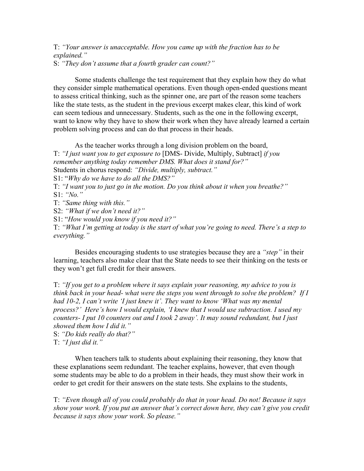T: *"Your answer is unacceptable. How you came up with the fraction has to be explained."*  S: *"They don't assume that a fourth grader can count?"* 

Some students challenge the test requirement that they explain how they do what they consider simple mathematical operations. Even though open-ended questions meant to assess critical thinking, such as the spinner one, are part of the reason some teachers like the state tests, as the student in the previous excerpt makes clear, this kind of work can seem tedious and unnecessary. Students, such as the one in the following excerpt, want to know why they have to show their work when they have already learned a certain problem solving process and can do that process in their heads.

 As the teacher works through a long division problem on the board, T: *"I just want you to get exposure to* [DMS- Divide, Multiply, Subtract] *if you remember anything today remember DMS. What does it stand for?"*  Students in chorus respond: *"Divide, multiply, subtract."*  S1: "*Why do we have to do all the DMS?"*  T: *"I want you to just go in the motion. Do you think about it when you breathe?"*  S1: *"No."*  T: *"Same thing with this."*  S2: *"What if we don't need it?"*  S1: "*How would you know if you need it?"* T: *"What I'm getting at today is the start of what you're going to need. There's a step to* 

*everything."*

 Besides encouraging students to use strategies because they are a *"step"* in their learning, teachers also make clear that the State needs to see their thinking on the tests or they won't get full credit for their answers.

T: *"If you get to a problem where it says explain your reasoning, my advice to you is think back in your head- what were the steps you went through to solve the problem? If I had 10-2, I can't write 'I just knew it'. They want to know 'What was my mental process?' Here's how I would explain, 'I knew that I would use subtraction. I used my counters- I put 10 counters out and I took 2 away'. It may sound redundant, but I just showed them how I did it."* 

S: *"Do kids really do that?"*  T: *"I just did it."* 

When teachers talk to students about explaining their reasoning, they know that these explanations seem redundant. The teacher explains, however, that even though some students may be able to do a problem in their heads, they must show their work in order to get credit for their answers on the state tests. She explains to the students,

T: *"Even though all of you could probably do that in your head. Do not! Because it says show your work. If you put an answer that's correct down here, they can't give you credit because it says show your work. So please."*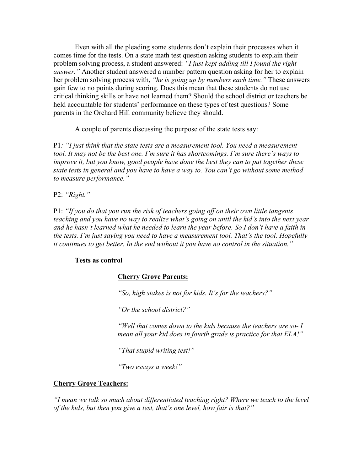Even with all the pleading some students don't explain their processes when it comes time for the tests. On a state math test question asking students to explain their problem solving process, a student answered: *"I just kept adding till I found the right answer."* Another student answered a number pattern question asking for her to explain her problem solving process with, *"he is going up by numbers each time."* These answers gain few to no points during scoring. Does this mean that these students do not use critical thinking skills or have not learned them? Should the school district or teachers be held accountable for students' performance on these types of test questions? Some parents in the Orchard Hill community believe they should.

A couple of parents discussing the purpose of the state tests say:

P1*: "I just think that the state tests are a measurement tool. You need a measurement tool. It may not be the best one. I'm sure it has shortcomings. I'm sure there's ways to improve it, but you know, good people have done the best they can to put together these state tests in general and you have to have a way to. You can't go without some method to measure performance."* 

P2: *"Right."*

P1: *"If you do that you run the risk of teachers going off on their own little tangents teaching and you have no way to realize what's going on until the kid's into the next year and he hasn't learned what he needed to learn the year before. So I don't have a faith in the tests. I'm just saying you need to have a measurement tool. That's the tool. Hopefully it continues to get better. In the end without it you have no control in the situation."*

## **Tests as control**

## **Cherry Grove Parents:**

*"So, high stakes is not for kids. It's for the teachers?"* 

 *"Or the school district?"* 

 *"Well that comes down to the kids because the teachers are so- I mean all your kid does in fourth grade is practice for that ELA!"* 

 *"That stupid writing test!"* 

 *"Two essays a week!"* 

## **Cherry Grove Teachers:**

*"I mean we talk so much about differentiated teaching right? Where we teach to the level of the kids, but then you give a test, that's one level, how fair is that?"*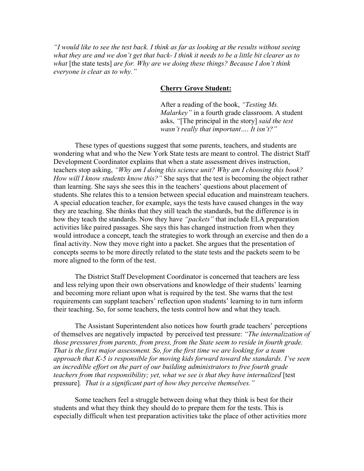*"I would like to see the test back. I think as far as looking at the results without seeing what they are and we don't get that back- I think it needs to be a little bit clearer as to what* [the state tests] *are for. Why are we doing these things? Because I don't think everyone is clear as to why."* 

## **Cherry Grove Student:**

After a reading of the book, *"Testing Ms. Malarkey"* in a fourth grade classroom. A student asks, *"*[The principal in the story] *said the test wasn't really that important…. It isn't?"* 

These types of questions suggest that some parents, teachers, and students are wondering what and who the New York State tests are meant to control. The district Staff Development Coordinator explains that when a state assessment drives instruction, teachers stop asking, *"Why am I doing this science unit? Why am I choosing this book? How will I know students know this?"* She says that the test is becoming the object rather than learning. She says she sees this in the teachers' questions about placement of students. She relates this to a tension between special education and mainstream teachers. A special education teacher, for example, says the tests have caused changes in the way they are teaching. She thinks that they still teach the standards, but the difference is in how they teach the standards. Now they have *"packets"* that include ELA preparation activities like paired passages. She says this has changed instruction from when they would introduce a concept, teach the strategies to work through an exercise and then do a final activity. Now they move right into a packet. She argues that the presentation of concepts seems to be more directly related to the state tests and the packets seem to be more aligned to the form of the test.

The District Staff Development Coordinator is concerned that teachers are less and less relying upon their own observations and knowledge of their students' learning and becoming more reliant upon what is required by the test. She warns that the test requirements can supplant teachers' reflection upon students' learning to in turn inform their teaching. So, for some teachers, the tests control how and what they teach.

The Assistant Superintendent also notices how fourth grade teachers' perceptions of themselves are negatively impacted by perceived test pressure: *"The internalization of those pressures from parents, from press, from the State seem to reside in fourth grade. That is the first major assessment. So, for the first time we are looking for a team approach that K-5 is responsible for moving kids forward toward the standards. I've seen an incredible effort on the part of our building administrators to free fourth grade teachers from that responsibility; yet, what we see is that they have internalized* [test pressure]*. That is a significant part of how they perceive themselves."* 

 Some teachers feel a struggle between doing what they think is best for their students and what they think they should do to prepare them for the tests. This is especially difficult when test preparation activities take the place of other activities more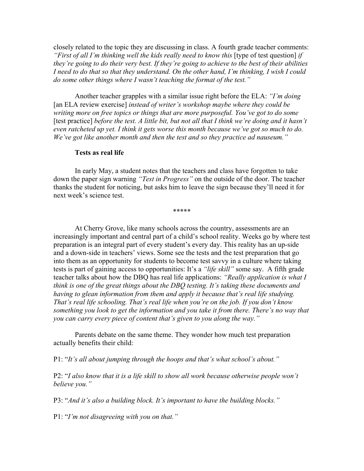closely related to the topic they are discussing in class. A fourth grade teacher comments: *"First of all I'm thinking well the kids really need to know this* [type of test question] *if they're going to do their very best. If they're going to achieve to the best of their abilities I need to do that so that they understand. On the other hand, I'm thinking, I wish I could do some other things where I wasn't teaching the format of the test."* 

 Another teacher grapples with a similar issue right before the ELA: *"I'm doing*  [an ELA review exercise] *instead of writer's workshop maybe where they could be writing more on free topics or things that are more purposeful. You've got to do some*  [test practice] *before the test. A little bit, but not all that I think we're doing and it hasn't even ratcheted up yet. I think it gets worse this month because we've got so much to do. We've got like another month and then the test and so they practice ad nauseum."*

#### **Tests as real life**

In early May, a student notes that the teachers and class have forgotten to take down the paper sign warning *"Test in Progress"* on the outside of the door. The teacher thanks the student for noticing, but asks him to leave the sign because they'll need it for next week's science test.

\*\*\*\*\*

At Cherry Grove, like many schools across the country, assessments are an increasingly important and central part of a child's school reality. Weeks go by where test preparation is an integral part of every student's every day. This reality has an up-side and a down-side in teachers' views. Some see the tests and the test preparation that go into them as an opportunity for students to become test savvy in a culture where taking tests is part of gaining access to opportunities: It's a *"life skill"* some say. A fifth grade teacher talks about how the DBQ has real life applications: *"Really application is what I think is one of the great things about the DBQ testing. It's taking these documents and having to glean information from them and apply it because that's real life studying. That's real life schooling. That's real life when you're on the job. If you don't know something you look to get the information and you take it from there. There's no way that you can carry every piece of content that's given to you along the way."* 

 Parents debate on the same theme. They wonder how much test preparation actually benefits their child:

P1: "*It's all about jumping through the hoops and that's what school's about."* 

P2: "*I also know that it is a life skill to show all work because otherwise people won't believe you."* 

P3: "*And it's also a building block. It's important to have the building blocks."* 

P1: "*I'm not disagreeing with you on that."*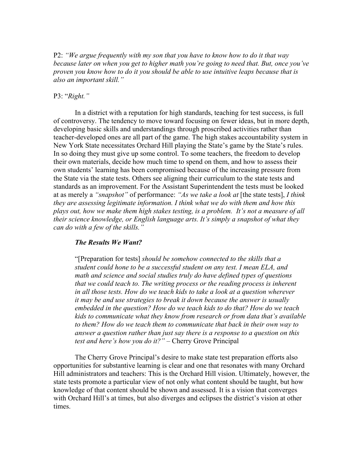P2: *"We argue frequently with my son that you have to know how to do it that way because later on when you get to higher math you're going to need that. But, once you've proven you know how to do it you should be able to use intuitive leaps because that is also an important skill."*

## P3: "*Right."*

In a district with a reputation for high standards, teaching for test success, is full of controversy. The tendency to move toward focusing on fewer ideas, but in more depth, developing basic skills and understandings through proscribed activities rather than teacher-developed ones are all part of the game. The high stakes accountability system in New York State necessitates Orchard Hill playing the State's game by the State's rules. In so doing they must give up some control. To some teachers, the freedom to develop their own materials, decide how much time to spend on them, and how to assess their own students' learning has been compromised because of the increasing pressure from the State via the state tests. Others see aligning their curriculum to the state tests and standards as an improvement. For the Assistant Superintendent the tests must be looked at as merely a *"snapshot"* of performance: *"As we take a look at* [the state tests], *I think they are assessing legitimate information. I think what we do with them and how this plays out, how we make them high stakes testing, is a problem. It's not a measure of all their science knowledge, or English language arts. It's simply a snapshot of what they can do with a few of the skills."* 

## *The Results We Want?*

 "[Preparation for tests] *should be somehow connected to the skills that a student could hone to be a successful student on any test. I mean ELA, and math and science and social studies truly do have defined types of questions that we could teach to. The writing process or the reading process is inherent in all those tests. How do we teach kids to take a look at a question wherever it may be and use strategies to break it down because the answer is usually embedded in the question? How do we teach kids to do that? How do we teach kids to communicate what they know from research or from data that's available to them? How do we teach them to communicate that back in their own way to answer a question rather than just say there is a response to a question on this test and here's how you do it?"* – Cherry Grove Principal

 The Cherry Grove Principal's desire to make state test preparation efforts also opportunities for substantive learning is clear and one that resonates with many Orchard Hill administrators and teachers: This is the Orchard Hill vision. Ultimately, however, the state tests promote a particular view of not only what content should be taught, but how knowledge of that content should be shown and assessed. It is a vision that converges with Orchard Hill's at times, but also diverges and eclipses the district's vision at other times.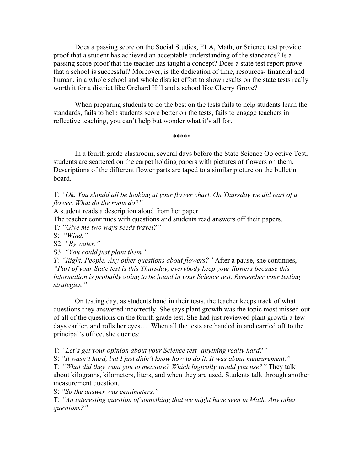Does a passing score on the Social Studies, ELA, Math, or Science test provide proof that a student has achieved an acceptable understanding of the standards? Is a passing score proof that the teacher has taught a concept? Does a state test report prove that a school is successful? Moreover, is the dedication of time, resources- financial and human, in a whole school and whole district effort to show results on the state tests really worth it for a district like Orchard Hill and a school like Cherry Grove?

When preparing students to do the best on the tests fails to help students learn the standards, fails to help students score better on the tests, fails to engage teachers in reflective teaching, you can't help but wonder what it's all for.

\*\*\*\*\*

 In a fourth grade classroom, several days before the State Science Objective Test, students are scattered on the carpet holding papers with pictures of flowers on them. Descriptions of the different flower parts are taped to a similar picture on the bulletin board.

T: *"Ok. You should all be looking at your flower chart. On Thursday we did part of a flower. What do the roots do?"* 

A student reads a description aloud from her paper.

The teacher continues with questions and students read answers off their papers.

T*: "Give me two ways seeds travel?"*

S: *"Wind."*

S2: *"By water."* 

S3: *"You could just plant them."* 

*T: "Right. People. Any other questions about flowers?"* After a pause, she continues, *"Part of your State test is this Thursday, everybody keep your flowers because this information is probably going to be found in your Science test. Remember your testing strategies."* 

 On testing day, as students hand in their tests, the teacher keeps track of what questions they answered incorrectly. She says plant growth was the topic most missed out of all of the questions on the fourth grade test. She had just reviewed plant growth a few days earlier, and rolls her eyes…. When all the tests are handed in and carried off to the principal's office, she queries:

T: *"Let's get your opinion about your Science test- anything really hard?"* 

S: *"It wasn't hard, but I just didn't know how to do it. It was about measurement."* 

T: *"What did they want you to measure? Which logically would you use?"* They talk about kilograms, kilometers, liters, and when they are used. Students talk through another measurement question,

S: *"So the answer was centimeters."* 

T: *"An interesting question of something that we might have seen in Math. Any other questions?"*